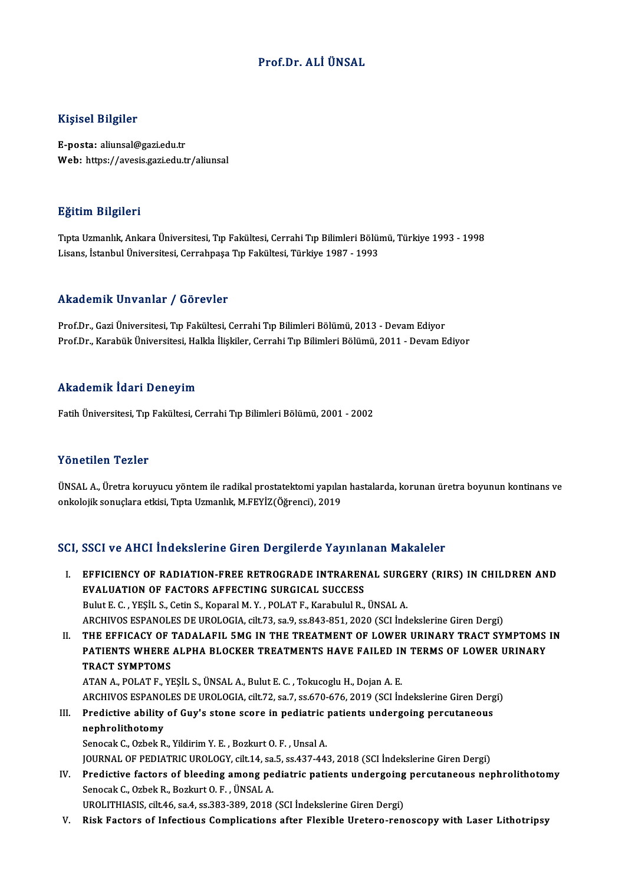#### Prof.Dr. ALİÜNSAL

#### Kişisel Bilgiler

E-posta: aliunsal@gazi.edu.tr Web: https://avesis.gazi.edu.tr/aliunsal

#### Eğitim Bilgileri

<mark>Eğitim Bilgileri</mark><br>Tıpta Uzmanlık, Ankara Üniversitesi, Tıp Fakültesi, Cerrahi Tıp Bilimleri Bölümü, Türkiye 1993 - 1998<br>Lisans İstanbul Üniversitesi, Cerrahnese Tıp Fakültesi, Türkiye 1997 - 1993 Lisanan Daryaroaa<br>Tıpta Uzmanlık, Ankara Üniversitesi, Tıp Fakültesi, Cerrahi Tıp Bilimleri Bölüı<br>Lisans, İstanbul Üniversitesi, Cerrahpaşa Tıp Fakültesi, Türkiye 1987 - 1993 Lisans, İstanbul Üniversitesi, Cerrahpaşa Tıp Fakültesi, Türkiye 1987 - 1993<br>Akademik Unvanlar / Görevler

Prof.Dr., Gazi Üniversitesi, Tıp Fakültesi, Cerrahi Tıp Bilimleri Bölümü, 2013 - Devam Ediyor Prof.Dr., Karabük Üniversitesi, Halkla İlişkiler, Cerrahi Tıp Bilimleri Bölümü, 2011 - Devam Ediyor

#### Akademik İdari Deneyim

Fatih Üniversitesi, Tıp Fakültesi, Cerrahi Tıp Bilimleri Bölümü, 2001 - 2002

#### Yönetilen Tezler

Yönetilen Tezler<br>ÜNSAL A., Üretra koruyucu yöntem ile radikal prostatektomi yapılan hastalarda, korunan üretra boyunun kontinans ve<br>Ankelejik senyelere etkisi, Tpto Uzmanlık, MEEVİZ(Öğrensi), 2019 1 oncencn-1 once<br>ÜNSAL A., Üretra koruyucu yöntem ile radikal prostatektomi yapılaı<br>onkolojik sonuçlara etkisi, Tıpta Uzmanlık, M.FEYİZ(Öğrenci), 2019

# onkolojik sonuçlara etkisi, Tıpta Uzmanlık, M.FEYİZ(Öğrenci), 2019<br>SCI, SSCI ve AHCI İndekslerine Giren Dergilerde Yayınlanan Makaleler

CI, SSCI ve AHCI İndekslerine Giren Dergilerde Yayınlanan Makaleler<br>I. EFFICIENCY OF RADIATION-FREE RETROGRADE INTRARENAL SURGERY (RIRS) IN CHILDREN AND<br>EVALUATION OF FACTORS AFFECTING SURGICAL SUCCESS EFFICIENCY OF RADIATION-FREE RETROGRADE INTRAREN<br>EVALUATION OF FACTORS AFFECTING SURGICAL SUCCESS<br>Bulut E.C., VESU, S. Cotin S. Kanaval M. V., DOLAT E. Kanabulul B. EVALUATION OF FACTORS AFFECTING SURGICAL SUCCESS<br>Bulut E. C. , YESİL S., Cetin S., Koparal M. Y. , POLAT F., Karabulul R., ÜNSAL A. ARCHIVOS ESPANOLES DE UROLOGIA, cilt.73, sa.9, ss.843-851, 2020 (SCI İndekslerine Giren Dergi) Bulut E. C. , YEŞİL S., Cetin S., Koparal M. Y. , POLAT F., Karabulul R., ÜNSAL A.<br>ARCHIVOS ESPANOLES DE UROLOGIA, cilt.73, sa.9, ss.843-851, 2020 (SCI İndekslerine Giren Dergi)<br>II. THE EFFICACY OF TADALAFIL 5MG IN THE TRE ARCHIVOS ESPANOLES DE UROLOGIA, cilt.73, sa.9, ss.843-851, 2020 (SCI İndekslerine Giren Dergi)<br>THE EFFICACY OF TADALAFIL 5MG IN THE TREATMENT OF LOWER URINARY TRACT SYMPTOMS<br>PATIENTS WHERE ALPHA BLOCKER TREATMENTS HAVE FAI THE EFFICACY OF<br>PATIENTS WHERE<br>TRACT SYMPTOMS PATIENTS WHERE ALPHA BLOCKER TREATMENTS HAVE FAILED IN TERMS OF LOWER URINARY<br>TRACT SYMPTOMS<br>ATAN A., POLAT F., YEŞİL S., ÜNSAL A., Bulut E. C. , Tokucoglu H., Dojan A. E. TRACT SYMPTOMS<br>ATAN A., POLAT F., YEŞİL S., ÜNSAL A., Bulut E. C. , Tokucoglu H., Dojan A. E.<br>ARCHIVOS ESPANOLES DE UROLOGIA, cilt.72, sa.7, ss.670-676, 2019 (SCI İndekslerine Giren Dergi)<br>Predistive ability of Guy's stans ATAN A., POLAT F., YEŞİL S., ÜNSAL A., Bulut E. C. , Tokucoglu H., Dojan A. E.<br>ARCHIVOS ESPANOLES DE UROLOGIA, cilt.72, sa.7, ss.670-676, 2019 (SCI İndekslerine Giren Derg<br>III. Predictive ability of Guy's stone score in pe ARCHIVOS ESPANO<br>Predictive ability<br>nephrolithotomy<br>Sanagek C. Orbak B III. Predictive ability of Guy's stone score in pediatric patients undergoing percutaneous<br>nephrolithotomy<br>Senocak C., Ozbek R., Yildirim Y. E. , Bozkurt O. F. , Unsal A. JOURNAL OF PEDIATRIC UROLOGY, cilt.14, sa.5, ss.437-443, 2018 (SCI İndekslerine Giren Dergi) Senocak C., Ozbek R., Yildirim Y. E., Bozkurt O. F., Unsal A.<br>JOURNAL OF PEDIATRIC UROLOGY, cilt.14, sa.5, ss.437-443, 2018 (SCI İndekslerine Giren Dergi)<br>IV. Predictive factors of bleeding among pediatric patients undergo JOURNAL OF PEDIATRIC UROLOGY, cilt.14, sa.<br>Predictive factors of bleeding among pe<br>Senocak C., Ozbek R., Bozkurt O. F. , ÜNSAL A.<br>UPOLITHIASIS, cilt.46, sa.4, ss.292,290, 2019. Predictive factors of bleeding among pediatric patients undergoing<br>Senocak C., Ozbek R., Bozkurt O. F. , ÜNSAL A.<br>UROLITHIASIS, cilt.46, sa.4, ss.383-389, 2018 (SCI İndekslerine Giren Dergi)<br>Piek Fostore of Infostious Comp

Senocak C., Ozbek R., Bozkurt O. F. , ÜNSAL A.<br>UROLITHIASIS, cilt.46, sa.4, ss.383-389, 2018 (SCI Indekslerine Giren Dergi)<br>V. Risk Factors of Infectious Complications after Flexible Uretero-renoscopy with Laser Lithot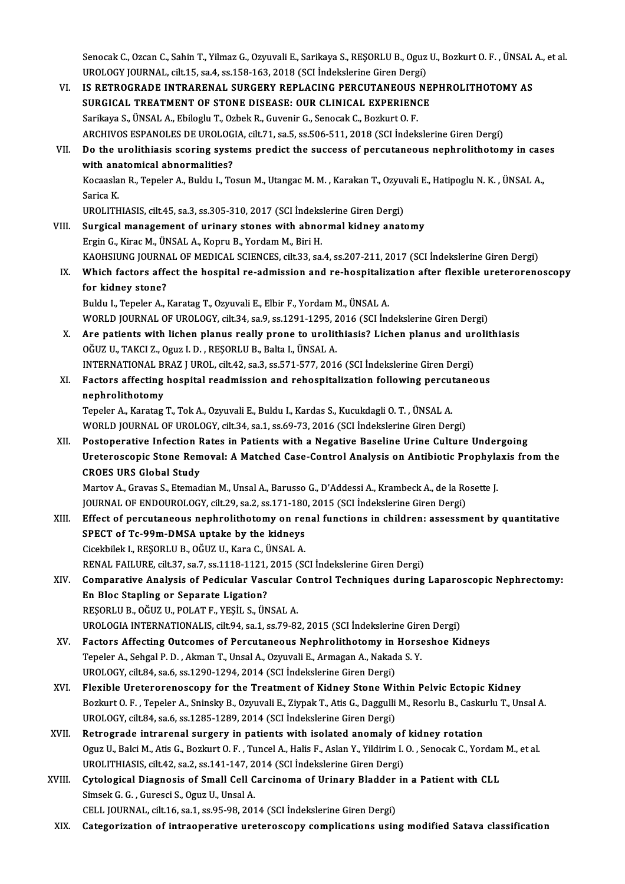Senocak C., Ozcan C., Sahin T., Yilmaz G., Ozyuvali E., Sarikaya S., REŞORLU B., Oguz U., Bozkurt O. F. , ÜNSAL A., et al.<br>UPOLOCY JOUPNAL, silt 15, sa 4, ss 158, 162, 2018 (SCL İndekslarine Giren Dergi). Senocak C., Ozcan C., Sahin T., Yilmaz G., Ozyuvali E., Sarikaya S., REŞORLU B., Oguz<br>UROLOGY JOURNAL, cilt.15, sa.4, ss.158-163, 2018 (SCI İndekslerine Giren Dergi)<br>IS BETROCRADE INTRARENAL, SURCERY REPLACING BERGUTANEQUS

- Senocak C., Ozcan C., Sahin T., Yilmaz G., Ozyuvali E., Sarikaya S., REŞORLU B., Oguz U., Bozkurt O. F. , ÜNSAL<br>UROLOGY JOURNAL, cilt.15, sa.4, ss.158-163, 2018 (SCI İndekslerine Giren Dergi)<br>VI. IS RETROGRADE INTRARENAL S UROLOGY JOURNAL, cilt.15, sa.4, ss.158-163, 2018 (SCI İndekslerine Giren Dergi)<br>VI. IS RETROGRADE INTRARENAL SURGERY REPLACING PERCUTANEOUS NEPHROLITHOTOMY AS<br>SURGICAL TREATMENT OF STONE DISEASE: OUR CLINICAL EXPERIENCE Sarikaya S.,ÜNSALA.,EbilogluT.,OzbekR.,GuvenirG.,SenocakC.,BozkurtO.F. ARCHIVOS ESPANOLES DE UROLOGIA, cilt.71, sa.5, ss.506-511, 2018 (SCI İndekslerine Giren Dergi) Sarikaya S., ÜNSAL A., Ebiloglu T., Ozbek R., Guvenir G., Senocak C., Bozkurt O. F.<br>ARCHIVOS ESPANOLES DE UROLOGIA, cilt.71, sa.5, ss.506-511, 2018 (SCI İndekslerine Giren Dergi)<br>VII. Do the urolithiasis scoring systems pr ARCHIVOS ESPANOLES DE UROLOG<br>Do the urolithiasis scoring system<br>with anatomical abnormalities?<br>Kessaslan B. Teneler A. Buldu L. Te Do the urolithiasis scoring systems predict the success of percutaneous nephrolithotomy in case<br>with anatomical abnormalities?<br>Kocaaslan R., Tepeler A., Buldu I., Tosun M., Utangac M. M. , Karakan T., Ozyuvali E., Hatipogl **with an:**<br>Kocaasla<br>Sarica K.<br>UPOLITE Kocaaslan R., Tepeler A., Buldu I., Tosun M., Utangac M. M. , Karakan T., Ozyuv<br>Sarica K.<br>UROLITHIASIS, cilt.45, sa.3, ss.305-310, 2017 (SCI İndekslerine Giren Dergi)<br>Surgical management of urinary stenes with abnormal kid Sarica K.<br>UROLITHIASIS, cilt.45, sa.3, ss.305-310, 2017 (SCI İndekslerine Giren Dergi)<br>VIII. Surgical management of urinary stones with abnormal kidney anatomy<br>Ergin G., Kirac M., ÜNSAL A., Kopru B., Yordam M., Biri H. UROLITHIASIS, cilt.45, sa.3, ss.305-310, 2017 (SCI İndekslerine Giren Dergi) Surgical management of urinary stones with abnormal kidney anatomy<br>Ergin G., Kirac M., ÜNSAL A., Kopru B., Yordam M., Biri H.<br>KAOHSIUNG JOURNAL OF MEDICAL SCIENCES, cilt.33, sa.4, ss.207-211, 2017 (SCI İndekslerine Giren D Ergin G., Kirac M., ÜNSAL A., Kopru B., Yordam M., Biri H.<br>KAOHSIUNG JOURNAL OF MEDICAL SCIENCES, cilt.33, sa.4, ss.207-211, 2017 (SCI İndekslerine Giren Dergi)<br>IX. Which factors affect the hospital re-admission and re-hos KAOHSIUNG JOURNA<br>Which factors affer<br>for kidney stone?<br>Puldu J. Toneler A. I Which factors affect the hospital re-admission and re-hospitaliz<br>for kidney stone?<br>Buldu I., Tepeler A., Karatag T., Ozyuvali E., Elbir F., Yordam M., ÜNSAL A.<br>WORLD JOURNAL OF UPOLOCY, sit 34, sa 9, sa 1391, 1395, 3916 (S for kidney stone?<br>Buldu I., Tepeler A., Karatag T., Ozyuvali E., Elbir F., Yordam M., ÜNSAL A.<br>WORLD JOURNAL OF UROLOGY, cilt.34, sa.9, ss.1291-1295, 2016 (SCI İndekslerine Giren Dergi) Buldu I., Tepeler A., Karatag T., Ozyuvali E., Elbir F., Yordam M., ÜNSAL A.<br>WORLD JOURNAL OF UROLOGY, cilt.34, sa.9, ss.1291-1295, 2016 (SCI Indekslerine Giren Dergi)<br>X. Are patients with lichen planus really prone to uro WORLD JOURNAL OF UROLOGY, cilt.34, sa.9, ss.1291-1295, 2<br>Are patients with lichen planus really prone to urolit<br>OĞUZ U., TAKCI Z., Oguz I. D., REŞORLU B., Balta I., ÜNSAL A.<br>INTERNATIONAL BRAZ LUROL, silt 42, so.3, ss.571, Are patients with lichen planus really prone to urolithiasis? Lichen planus and ur<br>OĞUZ U., TAKCI Z., Oguz I. D. , REŞORLU B., Balta I., ÜNSAL A.<br>INTERNATIONAL BRAZ J UROL, cilt.42, sa.3, ss.571-577, 2016 (SCI İndekslerine OĞUZ U., TAKCI Z., Oguz I. D. , REŞORLU B., Balta I., ÜNSAL A.<br>INTERNATIONAL BRAZ J UROL, cilt.42, sa.3, ss.571-577, 2016 (SCI İndekslerine Giren Dergi)<br>XI. Factors affecting hospital readmission and rehospitalization foll INTERNATIONAL BRAZ J UROL, cilt.42, sa.3, ss.571-577, 2016 (SCI Indekslerine Giren Dergi) Factors affecting hospital readmission and rehospitalization following percut<br>nephrolithotomy<br>Tepeler A., Karatag T., Tok A., Ozyuvali E., Buldu I., Kardas S., Kucukdagli O. T. , ÜNSAL A.<br>WORLD JOURNAL OF UROLOCY, si<sup>1</sup>t 2 nephrolithotomy<br>Tepeler A., Karatag T., Tok A., Ozyuvali E., Buldu I., Kardas S., Kucukdagli O. T. , ÜNSAL A.<br>WORLD JOURNAL OF UROLOGY, cilt.34, sa.1, ss.69-73, 2016 (SCI İndekslerine Giren Dergi)<br>Postonorative Infection P Tepeler A., Karatag T., Tok A., Ozyuvali E., Buldu I., Kardas S., Kucukdagli O. T. , ÜNSAL A.<br>WORLD JOURNAL OF UROLOGY, cilt.34, sa.1, ss.69-73, 2016 (SCI İndekslerine Giren Dergi)<br>XII. Postoperative Infection Rates in Pat WORLD JOURNAL OF UROLOGY, cilt.34, sa.1, ss.69-73, 2016 (SCI Indekslerine Giren Dergi)<br>Postoperative Infection Rates in Patients with a Negative Baseline Urine Culture Undergoing<br>Ureteroscopic Stone Removal: A Matched Case Postoperative Infection F<br>Ureteroscopic Stone Rem<br>CROES URS Global Study<br>Martou A Crauss S. Ftamed Ureteroscopic Stone Removal: A Matched Case-Control Analysis on Antibiotic Prophyla<br>CROES URS Global Study<br>Martov A., Gravas S., Etemadian M., Unsal A., Barusso G., D'Addessi A., Krambeck A., de la Rosette J.<br>JOUPMAL OF EN CROES URS Global Study<br>Martov A., Gravas S., Etemadian M., Unsal A., Barusso G., D'Addessi A., Krambeck A., de la Ro<br>JOURNAL OF ENDOUROLOGY, cilt.29, sa.2, ss.171-180, 2015 (SCI İndekslerine Giren Dergi)<br>Effect of nereutan Martov A., Gravas S., Etemadian M., Unsal A., Barusso G., D'Addessi A., Krambeck A., de la Rosette J.<br>JOURNAL OF ENDOUROLOGY, cilt.29, sa.2, ss.171-180, 2015 (SCI İndekslerine Giren Dergi)<br>XIII. Effect of percutaneous neph JOURNAL OF ENDOUROLOGY, cilt.29, sa.2, ss.171-180<br>Effect of percutaneous nephrolithotomy on rei<br>SPECT of Tc-99m-DMSA uptake by the kidneys<br>Cisekhilek L RESORLUR, OČUZ U, Kara C, ÜNSALA Effect of percutaneous nephrolithotomy on rei<br>SPECT of Tc-99m-DMSA uptake by the kidneys<br>Cicekbilek I., REŞORLU B., OĞUZ U., Kara C., ÜNSAL A.<br>PENAL FAJLUPE sit 27, 28, 7, 28,1119,1121, 2015, (SC Cicekbilek I., REŞORLU B., OĞUZ U., Kara C., ÜNSAL A.<br>RENAL FAILURE, cilt.37, sa.7, ss.1118-1121, 2015 (SCI İndekslerine Giren Dergi) Cicekbilek I., REŞORLU B., OĞUZ U., Kara C., ÜNSAL A.<br>RENAL FAILURE, cilt.37, sa.7, ss.1118-1121, 2015 (SCI İndekslerine Giren Dergi)<br>XIV. Comparative Analysis of Pedicular Vascular Control Techniques during Laparoscop RENAL FAILURE, cilt.37, sa.7, ss.1118-1121,<br>Comparative Analysis of Pedicular Vas<br>En Bloc Stapling or Separate Ligation?<br>PESOPLU B. OČUZ U. POLATE, VESU. S. ÜN Comparative Analysis of Pedicular Vascular (<br>En Bloc Stapling or Separate Ligation?<br>REŞORLU B., OĞUZ U., POLAT F., YEŞİL S., ÜNSAL A.<br>UPOLOCIA INTERNATIONALIS silt 94 sə 1 ss 79 9? En Bloc Stapling or Separate Ligation?<br>REŞORLU B., OĞUZ U., POLAT F., YEŞİL S., ÜNSAL A.<br>UROLOGIA INTERNATIONALIS, cilt.94, sa.1, ss.79-82, 2015 (SCI İndekslerine Giren Dergi)<br>Fastars Affecting Qutsomes of Bergutaneous Nop REŞORLU B., OĞUZ U., POLAT F., YEŞİL S., ÜNSAL A.<br>UROLOGIA INTERNATIONALIS, cilt94, sa.1, ss.79-82, 2015 (SCI İndekslerine Giren Dergi)<br>XV. Factors Affecting Outcomes of Percutaneous Nephrolithotomy in Horseshoe Kidneys<br>Te UROLOGIA INTERNATIONALIS, cilt.94, sa.1, ss.79-82, 2015 (SCI İndekslerine Gire<br>Factors Affecting Outcomes of Percutaneous Nephrolithotomy in Horse<br>Tepeler A., Sehgal P. D. , Akman T., Unsal A., Ozyuvali E., Armagan A., Nak XV. Factors Affecting Outcomes of Percutaneous Nephrolithotomy in Horseshoe Kidneys<br>Tepeler A., Sehgal P. D., Akman T., Unsal A., Ozyuvali E., Armagan A., Nakada S. Y.<br>UROLOGY, cilt.84, sa.6, ss.1290-1294, 2014 (SCI İndeks Tepeler A., Sehgal P. D. , Akman T., Unsal A., Ozyuvali E., Armagan A., Nakada S. Y.<br>UROLOGY, cilt.84, sa.6, ss.1290-1294, 2014 (SCI İndekslerine Giren Dergi)<br>XVI. Plexible Ureterorenoscopy for the Treatment of Kidney Ston Bozkurt O. F. , Tepeler A., Sninsky B., Ozyuvali E., Ziypak T., Atis G., Daggulli M., Resorlu B., Caskurlu T., Unsal A.<br>UROLOGY, cilt.84, sa.6, ss.1285-1289, 2014 (SCI İndekslerine Giren Dergi) Flexible Ureterorenoscopy for the Treatment of Kidney Stone Wit<br>Bozkurt O. F. , Tepeler A., Sninsky B., Ozyuvali E., Ziypak T., Atis G., Daggulli<br>UROLOGY, cilt.84, sa.6, ss.1285-1289, 2014 (SCI İndekslerine Giren Dergi)<br>Be Bozkurt O. F., Tepeler A., Sninsky B., Ozyuvali E., Ziypak T., Atis G., Daggulli M., Resorlu B., Casku<br>UROLOGY, cilt.84, sa.6, ss.1285-1289, 2014 (SCI İndekslerine Giren Dergi)<br>XVII. Retrograde intrarenal surgery in patien Oguz U., Balci M., Atis G., Bozkurt O. F. , Tuncel A., Halis F., Aslan Y., Yildirim I. O. , Senocak C., Yordam M., et al.<br>UROLITHIASIS, cilt.42, sa.2, ss.141-147, 2014 (SCI İndekslerine Giren Dergi) Retrograde intrarenal surgery in patients with isolated anomaly of<br>Oguz U., Balci M., Atis G., Bozkurt O. F. , Tuncel A., Halis F., Aslan Y., Yildirim I.<br>UROLITHIASIS, cilt.42, sa.2, ss.141-147, 2014 (SCI İndekslerine Gire Oguz U., Balci M., Atis G., Bozkurt O. F. , Tuncel A., Halis F., Aslan Y., Yildirim I. O. , Senocak C., Yordam<br>UROLITHIASIS, cilt.42, sa.2, ss.141-147, 2014 (SCI İndekslerine Giren Dergi)<br>XVIII. Cytological Diagnosis of Sm UROLITHIASIS, cilt.42, sa.2, ss.141-147, 2<br>Cytological Diagnosis of Small Cell C<br>Simsek G. G. , Guresci S., Oguz U., Unsal A.<br>CELL JOUPMAL silt 16, sp.1, sp.95, 98, 201 Cytological Diagnosis of Small Cell Carcinoma of Urinary Bladder<br>Simsek G. G. , Guresci S., Oguz U., Unsal A.<br>CELL JOURNAL, cilt.16, sa.1, ss.95-98, 2014 (SCI İndekslerine Giren Dergi)<br>Catagonization of intreaperative unat Simsek G. G. , Guresci S., Oguz U., Unsal A.<br>CELL JOURNAL, cilt.16, sa.1, ss.95-98, 2014 (SCI Indekslerine Giren Dergi)<br>XIX. Categorization of intraoperative ureteroscopy complications using modified Satava classificat
-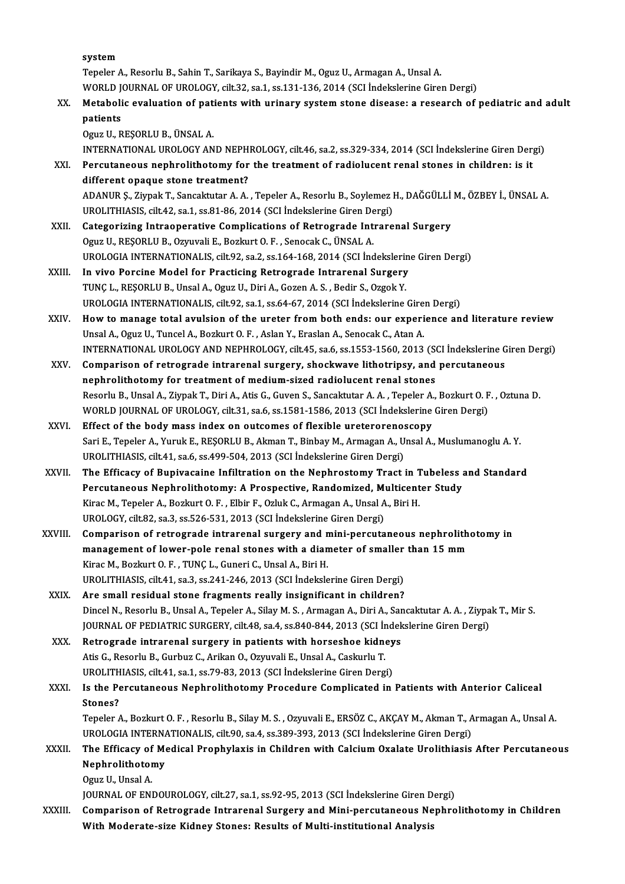system

Tepeler A., Resorlu B., Sahin T., Sarikaya S., Bayindir M., Oguz U., Armagan A., Unsal A. WORLD JOURNAL OF UROLOGY, cilt.32, sa.1, ss.131-136, 2014 (SCI İndekslerine Giren Dergi)

Tepeler A., Resorlu B., Sahin T., Sarikaya S., Bayindir M., Oguz U., Armagan A., Unsal A.<br>WORLD JOURNAL OF UROLOGY, cilt.32, sa.1, ss.131-136, 2014 (SCI Indekslerine Giren Dergi)<br>XX. Metabolic evaluation of patients with u WORLD J<br>Metaboli<br>patients<br>Oguz U. B Metabolic evaluation of pat:<br>patients<br>Oguz U., REŞORLU B., ÜNSAL A.<br>INTERNATIONAL UPOLOCY AN patients<br>Oguz U., REŞORLU B., ÜNSAL A.<br>INTERNATIONAL UROLOGY AND NEPHROLOGY, cilt.46, sa.2, ss.329-334, 2014 (SCI İndekslerine Giren Dergi)<br>Persutaneous nephrolithetemu for the treatment of radiolusent repal stanes in shil

Oguz U., REŞORLU B., ÜNSAL A.<br>INTERNATIONAL UROLOGY AND NEPHROLOGY, cilt46, sa.2, ss.329-334, 2014 (SCI İndekslerine Giren Der;<br>XXI. Percutaneous nephrolithotomy for the treatment of radiolucent renal stones in children: i INTERNATIONAL UROLOGY AND NEPH<br>Percutaneous nephrolithotomy for<br>different opaque stone treatment? Percutaneous nephrolithotomy for the treatment of radiolucent renal stones in children: is it<br>different opaque stone treatment?<br>ADANUR \$., Ziypak T., Sancaktutar A. A. , Tepeler A., Resorlu B., Soylemez H., DAĞGÜLLİ M., ÖZ

different opaque stone treatment?<br>ADANUR Ș., Ziypak T., Sancaktutar A. A. , Tepeler A., Resorlu B., Soylemez I<br>UROLITHIASIS, cilt.42, sa.1, ss.81-86, 2014 (SCI İndekslerine Giren Dergi)<br>Categoriging Intreaperative Complica ADANUR Ș., Ziypak T., Sancaktutar A. A., Tepeler A., Resorlu B., Soylemez H., DAĞGÜLLİ<br>UROLITHIASIS, cilt.42, sa.1, ss.81-86, 2014 (SCI İndekslerine Giren Dergi)<br>XXII. Categorizing Intraoperative Complications of Retrograd

- UROLITHIASIS, cilt.42, sa.1, ss.81-86, 2014 (SCI İndekslerine Giren Dergi)<br>Categorizing Intraoperative Complications of Retrograde Intrarenal Surgery<br>Oguz U., REŞORLU B., Ozyuvali E., Bozkurt O. F. , Senocak C., ÜNSAL A. Categorizing Intraoperative Complications of Retrograde Intrarenal Surgery<br>Oguz U., REŞORLU B., Ozyuvali E., Bozkurt O. F. , Senocak C., ÜNSAL A.<br>UROLOGIA INTERNATIONALIS, cilt.92, sa.2, ss.164-168, 2014 (SCI İndekslerine Oguz U., REȘORLU B., Ozyuvali E., Bozkurt O. F., Senocak C., ÜNSAL A.<br>UROLOGIA INTERNATIONALIS, cilt.92, sa.2, ss.164-168, 2014 (SCI İndekslerin<br>XXIII. In vivo Porcine Model for Practicing Retrograde Intrarenal Surgery<br>TIN
- UROLOGIA INTERNATIONALIS, cilt.92, sa.2, ss.164-168, 2014 (SCI İndekslerin<br>In vivo Porcine Model for Practicing Retrograde Intrarenal Surgery<br>TUNÇ L., REŞORLU B., Unsal A., Oguz U., Diri A., Gozen A. S., Bedir S., Ozgok Y. In vivo Porcine Model for Practicing Retrograde Intrarenal Surgery<br>TUNÇ L., REŞORLU B., Unsal A., Oguz U., Diri A., Gozen A. S. , Bedir S., Ozgok Y.<br>UROLOGIA INTERNATIONALIS, cilt.92, sa.1, ss.64-67, 2014 (SCI İndekslerine
- XXIV. Howto manage total avulsion of the ureter fromboth ends: our experience and literature review Unsal A., Oguz U., Tuncel A., Bozkurt O. F., Aslan Y., Eraslan A., Senocak C., Atan A. How to manage total avulsion of the ureter from both ends: our experience and literature review<br>Unsal A., Oguz U., Tuncel A., Bozkurt O. F. , Aslan Y., Eraslan A., Senocak C., Atan A.<br>INTERNATIONAL UROLOGY AND NEPHROLOGY, Unsal A., Oguz U., Tuncel A., Bozkurt O. F. , Aslan Y., Eraslan A., Senocak C., Atan A.<br>INTERNATIONAL UROLOGY AND NEPHROLOGY, cilt45, sa.6, ss.1553-1560, 2013 (SCI İndekslerine G<br>XXV. Comparison of retrograde intrarenal su
- INTERNATIONAL UROLOGY AND NEPHROLOGY, cilt.45, sa.6, ss.1553-1560, 2013 (SC<br>Comparison of retrograde intrarenal surgery, shockwave lithotripsy, and<br>nephrolithotomy for treatment of medium-sized radiolucent renal stones<br>Bes Comparison of retrograde intrarenal surgery, shockwave lithotripsy, and percutaneous<br>nephrolithotomy for treatment of medium-sized radiolucent renal stones<br>Resorlu B., Unsal A., Ziypak T., Diri A., Atis G., Guven S., Sanca nephrolithotomy for treatment of medium-sized radiolucent renal stones<br>Resorlu B., Unsal A., Ziypak T., Diri A., Atis G., Guven S., Sancaktutar A. A. , Tepeler A., Bozkurt O. F<br>WORLD JOURNAL OF UROLOGY, cilt.31, sa.6, ss.1 Resorlu B., Unsal A., Ziypak T., Diri A., Atis G., Guven S., Sancaktutar A. A., Tepeler A.<br>WORLD JOURNAL OF UROLOGY, cilt.31, sa.6, ss.1581-1586, 2013 (SCI Indekslerine<br>XXVI. Effect of the body mass index on outcomes of fl
- WORLD JOURNAL OF UROLOGY, cilt.31, sa.6, ss.1581-1586, 2013 (SCI İndekslerine Giren Dergi)<br>Effect of the body mass index on outcomes of flexible ureterorenoscopy<br>Sari E., Tepeler A., Yuruk E., REŞORLU B., Akman T., Binbay Effect of the body mass index on outcomes of flexible ureteroreno:<br>Sari E., Tepeler A., Yuruk E., REŞORLU B., Akman T., Binbay M., Armagan A., U<br>UROLITHIASIS, cilt.41, sa.6, ss.499-504, 2013 (SCI İndekslerine Giren Dergi)<br> Sari E., Tepeler A., Yuruk E., REŞORLU B., Akman T., Binbay M., Armagan A., Unsal A., Muslumanoglu A. Y.<br>UROLITHIASIS, cilt.41, sa.6, ss.499-504, 2013 (SCI İndekslerine Giren Dergi)<br>XXVII. The Efficacy of Bupivacaine Infil
- UROLITHIASIS, cilt.41, sa.6, ss.499-504, 2013 (SCI İndekslerine Giren Dergi)<br>The Efficacy of Bupivacaine Infiltration on the Nephrostomy Tract in Tubeless<br>Percutaneous Nephrolithotomy: A Prospective, Randomized, Multicente The Efficacy of Bupivacaine Infiltration on the Nephrostomy Tract in 1<br>Percutaneous Nephrolithotomy: A Prospective, Randomized, Multicent<br>Kirac M., Tepeler A., Bozkurt O. F., Elbir F., Ozluk C., Armagan A., Unsal A., Biri Percutaneous Nephrolithotomy: A Prospective, Randomized, M<br>Kirac M., Tepeler A., Bozkurt O. F. , Elbir F., Ozluk C., Armagan A., Unsal A<br>UROLOGY, cilt.82, sa.3, ss.526-531, 2013 (SCI İndekslerine Giren Dergi)<br>Comparison of Kirac M., Tepeler A., Bozkurt O. F. , Elbir F., Ozluk C., Armagan A., Unsal A., Biri H.<br>UROLOGY, cilt.82, sa.3, ss.526-531, 2013 (SCI İndekslerine Giren Dergi)<br>XXVIII. Comparison of retrograde intrarenal surgery and mini-p
- UROLOGY, cilt.82, sa.3, ss.526-531, 2013 (SCI İndekslerine Giren Dergi)<br>Comparison of retrograde intrarenal surgery and mini-percutaneous nephrolith<br>management of lower-pole renal stones with a diameter of smaller than 15 Comparison of retrograde intrarenal surgery and n<br>management of lower-pole renal stones with a dian<br>Kirac M., Bozkurt O. F. , TUNÇ L., Guneri C., Unsal A., Biri H.<br>UPOLITHIASIS, sit 44, sp.2, sp.244, 246, 2012, (SCL indeka management of lower-pole renal stones with a diameter of smaller than 15 mm<br>Kirac M., Bozkurt O. F. , TUNÇ L., Guneri C., Unsal A., Biri H.<br>UROLITHIASIS, cilt.41, sa.3, ss.241-246, 2013 (SCI İndekslerine Giren Dergi)<br>Are s
- UROLITHIASIS, cilt.41, sa.3, ss.241-246, 2013 (SCI Indekslerine Giren Dergi)<br>XXIX. Are small residual stone fragments really insignificant in children? Dincel N., Resorlu B., Unsal A., Tepeler A., Silay M. S., Armagan A., Diri A., Sancaktutar A. A., Ziypak T., Mir S. Are small residual stone fragments really insignificant in children?<br>Dincel N., Resorlu B., Unsal A., Tepeler A., Silay M. S. , Armagan A., Diri A., Sancaktutar A. A. , Ziypa<br>JOURNAL OF PEDIATRIC SURGERY, cilt.48, sa.4, ss Dincel N., Resorlu B., Unsal A., Tepeler A., Silay M. S., Armagan A., Diri A., Sar<br>JOURNAL OF PEDIATRIC SURGERY, cilt.48, sa.4, ss.840-844, 2013 (SCI Indek<br>XXX. Retrograde intrarenal surgery in patients with horseshoe kidn
- JOURNAL OF PEDIATRIC SURGERY, cilt.48, sa.4, ss.840-844, 2013 (SCI İr<br>Retrograde intrarenal surgery in patients with horseshoe kidn<br>Atis G., Resorlu B., Gurbuz C., Arikan O., Ozyuvali E., Unsal A., Caskurlu T.<br>UPOLITHLASIS Retrograde intrarenal surgery in patients with horseshoe kidney<br>Atis G., Resorlu B., Gurbuz C., Arikan O., Ozyuvali E., Unsal A., Caskurlu T.<br>UROLITHIASIS, cilt.41, sa.1, ss.79-83, 2013 (SCI İndekslerine Giren Dergi)<br>Is th
- Atis G., Resorlu B., Gurbuz C., Arikan O., Ozyuvali E., Unsal A., Caskurlu T.<br>UROLITHIASIS, cilt.41, sa.1, ss.79-83, 2013 (SCI İndekslerine Giren Dergi)<br>XXXI. Is the Percutaneous Nephrolithotomy Procedure Complicated in Pa UROLITH<br>Is the Pe<br>Stones?<br>Teneler / Is the Percutaneous Nephrolithotomy Procedure Complicated in Patients with Anterior Caliceal<br>Stones?<br>Tepeler A., Bozkurt O. F. , Resorlu B., Silay M. S. , Ozyuvali E., ERSÖZ C., AKÇAY M., Akman T., Armagan A., Unsal A.<br>UPO Stones?<br>Tepeler A., Bozkurt O. F. , Resorlu B., Silay M. S. , Ozyuvali E., ERSÖZ C., AKCAY M., Akman T., Armagan A., Unsal A.

Tepeler A., Bozkurt O. F. , Resorlu B., Silay M. S. , Ozyuvali E., ERSÖZ C., AKÇAY M., Akman T., Armagan A., Unsal A.<br>UROLOGIA INTERNATIONALIS, cilt.90, sa.4, ss.389-393, 2013 (SCI İndekslerine Giren Dergi)<br>XXXII. The

# UROLOGIA INTERNATIONALIS, cilt.90, sa.4, ss.389-393, 2013 (SCI İndekslerine Giren Dergi)<br>The Efficacy of Medical Prophylaxis in Children with Calcium Oxalate Urolithiasis<br>Nephrolithotomy<br>Oguz U., Unsal A. The Efficacy of<br>Nephrolithotor<br>Oguz U., Unsal A.<br>IOUPMAL OF ENI

JOURNAL OF ENDOUROLOGY, cilt.27, sa.1, ss.92-95, 2013 (SCI İndekslerine Giren Dergi)

XXXIII. Comparison of Retrograde Intrarenal Surgery and Mini-percutaneous Nephrolithotomy in Children With Moderate-size Kidney Stones: Results of Multi-institutional Analysis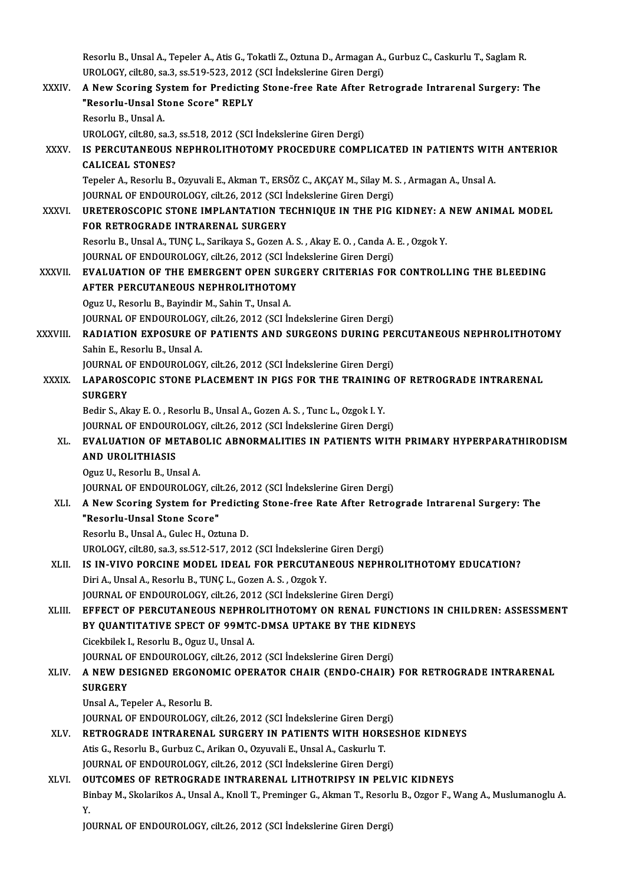Resorlu B., Unsal A., Tepeler A., Atis G., Tokatli Z., Oztuna D., Armagan A., Gurbuz C., Caskurlu T., Saglam R<br>UPOLOCX, silt 80, 83,3, 85,519,522, 2012 (SCL Indekslepine Ginen Dergi) Resorlu B., Unsal A., Tepeler A., Atis G., Tokatli Z., Oztuna D., Armagan A.,<br>UROLOGY, cilt.80, sa.3, ss.519-523, 2012 (SCI İndekslerine Giren Dergi)<br>A Navy Seoring System for Prodisting Stone free Pate After Petr Resorlu B., Unsal A., Tepeler A., Atis G., Tokatli Z., Oztuna D., Armagan A., Gurbuz C., Caskurlu T., Saglam R.<br>UROLOGY, cilt.80, sa.3, ss.519-523, 2012 (SCI İndekslerine Giren Dergi)<br>XXXIV. A New Scoring System for Predic

UROLOGY, cilt.80, sa.3, ss.519-523, 2012 (SCI Indekslerine Giren Dergi)<br>A New Scoring System for Predicting Stone-free Rate After Ret:<br>"Resorlu-Unsal Stone Score" REPLY<br>Resorlu B., Unsal A. A New Scoring System for Predicting Stone-free Rate After Retrograde Intrarenal Surgery: The UROLOGY, cilt.80, sa.3, ss.518, 2012 (SCI İndekslerine Giren Dergi) Resorlu B., Unsal A.<br>UROLOGY, cilt.80, sa.3, ss.518, 2012 (SCI İndekslerine Giren Dergi)<br>XXXV. IS PERCUTANEOUS NEPHROLITHOTOMY PROCEDURE COMPLICATED IN PATIENTS WITH ANTERIOR<br>CALICEAL STONES? UROLOGY, cilt.80, sa.3,<br>IS PERCUTANEOUS I<br>CALICEAL STONES?<br>Tanalar A. Basarlu B

IS PERCUTANEOUS NEPHROLITHOTOMY PROCEDURE COMPLICATED IN PATIENTS WIT<br>CALICEAL STONES?<br>Tepeler A., Resorlu B., Ozyuvali E., Akman T., ERSÖZ C., AKÇAY M., Silay M. S. , Armagan A., Unsal A.<br>JOUPMAL OF ENDOUPOLOCY, silt 26, CALICEAL STONES?<br>Tepeler A., Resorlu B., Ozvuvali E., Akman T., ERSÖZ C., AKCAY M., Silay M. S., Armagan A., Unsal A. JOURNAL OF ENDOUROLOGY, cilt.26, 2012 (SCI Indekslerine Giren Dergi)

XXXVI. URETEROSCOPIC STONE IMPLANTATION TECHNIQUE IN THE PIG KIDNEY: A NEW ANIMAL MODEL<br>FOR RETROGRADE INTRARENAL SURGERY ResorluB.,UnsalA.,TUNÇL.,Sarikaya S.,GozenA.S. ,AkayE.O. ,CandaA.E. ,OzgokY. FOR RETROGRADE INTRARENAL SURGERY<br>Resorlu B., Unsal A., TUNÇ L., Sarikaya S., Gozen A. S. , Akay E. O. , Canda A.<br>JOURNAL OF ENDOUROLOGY, cilt.26, 2012 (SCI İndekslerine Giren Dergi)<br>EVALUATION OF TUE EMERCENT OPEN SURCERY

XXXVII. EVALUATION OF THE EMERGENT OPEN SURGERY CRITERIAS FOR CONTROLLING THE BLEEDING JOURNAL OF ENDOUROLOGY, cilt.26, 2012 (SCI İnd<br>EVALUATION OF THE EMERGENT OPEN SURG<br>AFTER PERCUTANEOUS NEPHROLITHOTOMY<br>Ogua II, Bessalu B. Bevindin M. Sebin T. Ungel A AFTER PERCUTANEOUS NEPHROLITHOTOMY<br>Oguz U., Resorlu B., Bayindir M., Sahin T., Unsal A.

JOURNAL OF ENDOUROLOGY, cilt.26, 2012 (SCI İndekslerine Giren Dergi)

XXXVIII. RADIATION EXPOSURE OF PATIENTS AND SURGEONS DURING PERCUTANEOUS NEPHROLITHOTOMY Sahin E., Resorlu B., Unsal A.

JOURNAL OF ENDOUROLOGY, cilt.26, 2012 (SCI İndekslerine Giren Dergi)

# Sahin E., Resorlu B., Unsal A.<br>JOURNAL OF ENDOUROLOGY, cilt.26, 2012 (SCI İndekslerine Giren Dergi)<br>XXXIX. LAPAROSCOPIC STONE PLACEMENT IN PIGS FOR THE TRAINING OF RETROGRADE INTRARENAL<br>SUPCERY JOURNAL O<br><mark>LAPAROS</mark><br>SURGERY<br><sup>Podir S</sup>. Al LAPAROSCOPIC STONE PLACEMENT IN PIGS FOR THE TRAINING<br>SURGERY<br>Bedir S., Akay E. O. , Resorlu B., Unsal A., Gozen A. S. , Tunc L., Ozgok I. Y.<br>JOUPMAL OF ENDOUPOLOCY, silt 26, 2012 (SCL Indekslering Giron Derg SURGERY<br>Bedir S., Akay E. O. , Resorlu B., Unsal A., Gozen A. S. , Tunc L., Ozgok I. Y.<br>JOURNAL OF ENDOUROLOGY, cilt.26, 2012 (SCI İndekslerine Giren Dergi)<br>EVALUATION OF METAROLIC ARNORMALITIES IN RATIENTS WITI

# Bedir S., Akay E. O. , Resorlu B., Unsal A., Gozen A. S. , Tunc L., Ozgok I. Y.<br>JOURNAL OF ENDOUROLOGY, cilt.26, 2012 (SCI İndekslerine Giren Dergi)<br>XL. EVALUATION OF METABOLIC ABNORMALITIES IN PATIENTS WITH PRIMARY HYPERP **JOURNAL OF ENDOUR<br>EVALUATION OF ME<br>AND UROLITHIASIS EVALUATION OF METABO**<br>AND UROLITHIASIS<br>Oguz U., Resorlu B., Unsal A.<br>JOUPMAL OF ENDOUPOLOC. AND UROLITHIASIS<br>Oguz U., Resorlu B., Unsal A.<br>JOURNAL OF ENDOUROLOGY, cilt.26, 2012 (SCI İndekslerine Giren Dergi)<br>A Now Seoring System for Bradisting Stone free Bate After Betro

# Oguz U., Resorlu B., Unsal A.<br>JOURNAL OF ENDOUROLOGY, cilt.26, 2012 (SCI İndekslerine Giren Dergi)<br>XLI. A New Scoring System for Predicting Stone-free Rate After Retrograde Intrarenal Surgery: The<br>"Resorlu-Unsal Stone S JOURNAL OF ENDOUROLOGY, cil<br>A New Scoring System for Pr<br>"Resorlu-Unsal Stone Score"<br>Besorlu-B Hasal A Culos H Ort

Resorlu B., Unsal A., Gulec H., Oztuna D.

UROLOGY, cilt.80, sa.3, ss.512-517, 2012 (SCI İndekslerine Giren Dergi)

# Resorlu B., Unsal A., Gulec H., Oztuna D.<br>UROLOGY, cilt.80, sa.3, ss.512-517, 2012 (SCI İndekslerine Giren Dergi)<br>XLII. IS IN-VIVO PORCINE MODEL IDEAL FOR PERCUTANEOUS NEPHROLITHOTOMY EDUCATION?<br>Diri A. Ungel A. Beserlu B. IS IN-VIVO PORCINE MODEL IDEAL FOR PERCUTANEOUS NEPHRO<br>Diri A., Unsal A., Resorlu B., TUNÇ L., Gozen A. S. , Ozgok Y.<br>JOURNAL OF ENDOUROLOGY, cilt.26, 2012 (SCI İndekslerine Giren Dergi)<br>EEEECT OF PERCUTANEOUS NEPHROLITHOT

Diri A., Unsal A., Resorlu B., TUNÇ L., Gozen A. S. , Ozgok Y.<br>JOURNAL OF ENDOUROLOGY. cilt.26. 2012 (SCI İndekslerine Giren Dergi)

### XLIII. EFFECT OF PERCUTANEOUS NEPHROLITHOTOMY ON RENAL FUNCTIONS IN CHILDREN: ASSESSMENT JOURNAL OF ENDOUROLOGY, cilt.26, 2012 (SCI İndekslerine Giren Dergi)<br>EFFECT OF PERCUTANEOUS NEPHROLITHOTOMY ON RENAL FUNCTIO<br>BY QUANTITATIVE SPECT OF 99MTC-DMSA UPTAKE BY THE KIDNEYS<br>Cicolthilok L. Bosorlu B. Ozuz II. Hrsa EFFECT OF PERCUTANEOUS NEPHRO<br>BY QUANTITATIVE SPECT OF 99MTC<br>Cicekbilek I., Resorlu B., Oguz U., Unsal A.<br>JOUPNAL OF ENDOUPOLOCY silt 26, 201 BY QUANTITATIVE SPECT OF 99MTC-DMSA UPTAKE BY THE KIDN<br>Cicekbilek I., Resorlu B., Oguz U., Unsal A.<br>JOURNAL OF ENDOUROLOGY, cilt.26, 2012 (SCI İndekslerine Giren Dergi)<br>A NEW DESICNED ERCONOMIC OPERATOR CHAIR (ENDO CHAIR)

# Cicekbilek I., Resorlu B., Oguz U., Unsal A.<br>JOURNAL OF ENDOUROLOGY, cilt.26, 2012 (SCI İndekslerine Giren Dergi)<br>XLIV. A NEW DESIGNED ERGONOMIC OPERATOR CHAIR (ENDO-CHAIR) FOR RETROGRADE INTRARENAL<br>SUBCERY JOURNAL O<br>**A NEW DE<br>SURGERY**<br>Ungal A To A NEW DESIGNED ERGONO<br>SURGERY<br>Unsal A., Tepeler A., Resorlu B.<br>JOUPMAL OF ENDOUPOLOCY SURGERY<br>Unsal A., Tepeler A., Resorlu B.<br>JOURNAL OF ENDOUROLOGY, cilt.26, 2012 (SCI İndekslerine Giren Dergi)<br>RETROCRADE INTRARENAL, SURCERY IN RATIENTS WITH HORSES

# Unsal A., Tepeler A., Resorlu B.<br>JOURNAL OF ENDOUROLOGY, cilt.26, 2012 (SCI İndekslerine Giren Dergi)<br>XLV. RETROGRADE INTRARENAL SURGERY IN PATIENTS WITH HORSESHOE KIDNEYS<br>Atis G., Resorlu B., Gurbuz C., Arikan O., Ozyuval JOURNAL OF ENDOUROLOGY, cilt.26, 2012 (SCI İndekslerine Giren Derg<br>RETROGRADE INTRARENAL SURGERY IN PATIENTS WITH HORS<br>Atis G., Resorlu B., Gurbuz C., Arikan O., Ozyuvali E., Unsal A., Caskurlu T.<br>JOURNAL OF ENDOUROLOCY, s

JOURNAL OF ENDOUROLOGY, cilt.26, 2012 (SCI İndekslerine Giren Dergi)

#### XLVI. OUTCOMES OF RETROGRADE INTRARENAL LITHOTRIPSY IN PELVIC KIDNEYS

Binbay M., Skolarikos A., Unsal A., Knoll T., Preminger G., Akman T., Resorlu B., Ozgor F., Wang A., Muslumanoglu A.<br>Y. 01<br>Bi<br>Y.

JOURNAL OF ENDOUROLOGY, cilt.26, 2012 (SCI İndekslerine Giren Dergi)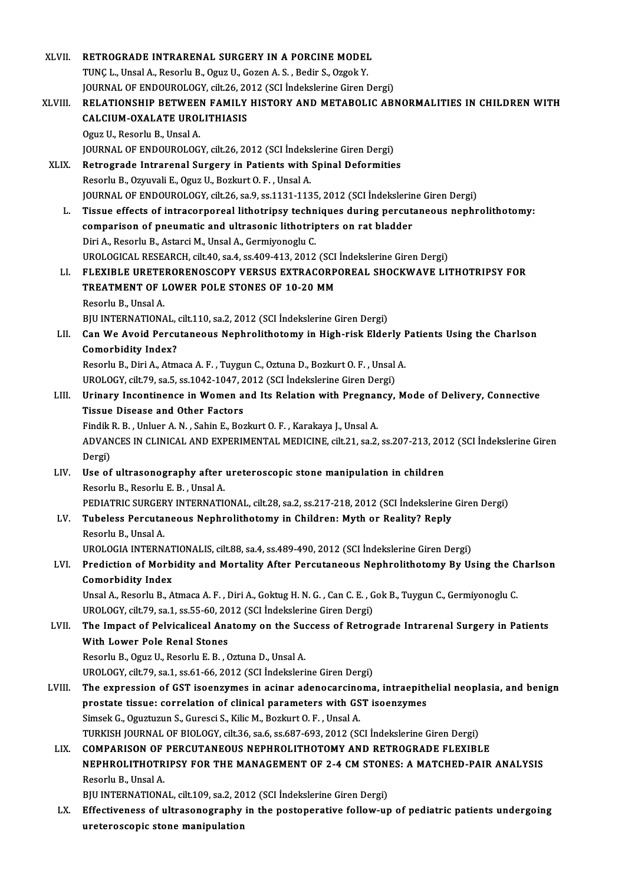| XLVII.  | RETROGRADE INTRARENAL SURGERY IN A PORCINE MODEL                                                                                                                          |
|---------|---------------------------------------------------------------------------------------------------------------------------------------------------------------------------|
|         | TUNÇ L., Unsal A., Resorlu B., Oguz U., Gozen A. S., Bedir S., Ozgok Y.                                                                                                   |
|         | JOURNAL OF ENDOUROLOGY, cilt.26, 2012 (SCI İndekslerine Giren Dergi)                                                                                                      |
| XLVIII. | RELATIONSHIP BETWEEN FAMILY HISTORY AND METABOLIC ABNORMALITIES IN CHILDREN WITH                                                                                          |
|         | CALCIUM-OXALATE UROLITHIASIS                                                                                                                                              |
|         | Oguz U., Resorlu B., Unsal A.                                                                                                                                             |
|         | JOURNAL OF ENDOUROLOGY, cilt.26, 2012 (SCI İndekslerine Giren Dergi)                                                                                                      |
| XLIX.   | Retrograde Intrarenal Surgery in Patients with Spinal Deformities                                                                                                         |
|         | Resorlu B., Ozyuvali E., Oguz U., Bozkurt O. F., Unsal A.                                                                                                                 |
|         | JOURNAL OF ENDOUROLOGY, cilt.26, sa.9, ss.1131-1135, 2012 (SCI İndekslerine Giren Dergi)                                                                                  |
| L.      | Tissue effects of intracorporeal lithotripsy techniques during percutaneous nephrolithotomy:                                                                              |
|         | comparison of pneumatic and ultrasonic lithotripters on rat bladder                                                                                                       |
|         | Diri A., Resorlu B., Astarci M., Unsal A., Germiyonoglu C.                                                                                                                |
|         | UROLOGICAL RESEARCH, cilt.40, sa.4, ss.409-413, 2012 (SCI İndekslerine Giren Dergi)                                                                                       |
| LI.     | FLEXIBLE URETERORENOSCOPY VERSUS EXTRACORPOREAL SHOCKWAVE LITHOTRIPSY FOR                                                                                                 |
|         | TREATMENT OF LOWER POLE STONES OF 10-20 MM                                                                                                                                |
|         | Resorlu B., Unsal A.                                                                                                                                                      |
|         | BJU INTERNATIONAL, cilt.110, sa.2, 2012 (SCI İndekslerine Giren Dergi)                                                                                                    |
| LII.    | Can We Avoid Percutaneous Nephrolithotomy in High-risk Elderly Patients Using the Charlson                                                                                |
|         | <b>Comorbidity Index?</b>                                                                                                                                                 |
|         | Resorlu B., Diri A., Atmaca A. F., Tuygun C., Oztuna D., Bozkurt O. F., Unsal A.                                                                                          |
|         | UROLOGY, cilt.79, sa.5, ss.1042-1047, 2012 (SCI İndekslerine Giren Dergi)                                                                                                 |
| LIII.   | Urinary Incontinence in Women and Its Relation with Pregnancy, Mode of Delivery, Connective                                                                               |
|         | <b>Tissue Disease and Other Factors</b>                                                                                                                                   |
|         | Findik R. B., Unluer A. N., Sahin E., Bozkurt O. F., Karakaya J., Unsal A.                                                                                                |
|         | ADVANCES IN CLINICAL AND EXPERIMENTAL MEDICINE, cilt.21, sa.2, ss.207-213, 2012 (SCI İndekslerine Giren                                                                   |
|         | Dergi)                                                                                                                                                                    |
| LIV.    | Use of ultrasonography after ureteroscopic stone manipulation in children                                                                                                 |
|         | Resorlu B., Resorlu E. B., Unsal A.                                                                                                                                       |
|         | PEDIATRIC SURGERY INTERNATIONAL, cilt.28, sa.2, ss.217-218, 2012 (SCI İndekslerine Giren Dergi)                                                                           |
| LV.     | Tubeless Percutaneous Nephrolithotomy in Children: Myth or Reality? Reply                                                                                                 |
|         | Resorlu B., Unsal A.                                                                                                                                                      |
|         | UROLOGIA INTERNATIONALIS, cilt.88, sa.4, ss.489-490, 2012 (SCI Indekslerine Giren Dergi)                                                                                  |
| LVI.    | Prediction of Morbidity and Mortality After Percutaneous Nephrolithotomy By Using the Charlson                                                                            |
|         | <b>Comorbidity Index</b>                                                                                                                                                  |
|         | Unsal A., Resorlu B., Atmaca A. F., Diri A., Goktug H. N. G., Can C. E., Gok B., Tuygun C., Germiyonoglu C.                                                               |
|         | UROLOGY, cilt.79, sa.1, ss.55-60, 2012 (SCI İndekslerine Giren Dergi)                                                                                                     |
| LVII.   | The Impact of Pelvicaliceal Anatomy on the Success of Retrograde Intrarenal Surgery in Patients                                                                           |
|         | With Lower Pole Renal Stones                                                                                                                                              |
|         | Resorlu B., Oguz U., Resorlu E. B., Oztuna D., Unsal A.                                                                                                                   |
|         | UROLOGY, cilt.79, sa.1, ss.61-66, 2012 (SCI İndekslerine Giren Dergi)<br>The expression of GST isoenzymes in acinar adenocarcinoma, intraepithelial neoplasia, and benign |
| LVIII.  | prostate tissue: correlation of clinical parameters with GST isoenzymes                                                                                                   |
|         |                                                                                                                                                                           |
|         | Simsek G., Oguztuzun S., Guresci S., Kilic M., Bozkurt O. F., Unsal A.<br>TURKISH JOURNAL OF BIOLOGY, cilt.36, sa.6, ss.687-693, 2012 (SCI İndekslerine Giren Dergi)      |
| LIX.    | COMPARISON OF PERCUTANEOUS NEPHROLITHOTOMY AND RETROGRADE FLEXIBLE                                                                                                        |
|         | NEPHROLITHOTRIPSY FOR THE MANAGEMENT OF 2-4 CM STONES: A MATCHED-PAIR ANALYSIS                                                                                            |
|         | Resorlu B., Unsal A.                                                                                                                                                      |
|         | BJU INTERNATIONAL, cilt.109, sa.2, 2012 (SCI İndekslerine Giren Dergi)                                                                                                    |
| LX.     | Effectiveness of ultrasonography in the postoperative follow-up of pediatric patients undergoing                                                                          |
|         | ureteroscopic stone manipulation                                                                                                                                          |
|         |                                                                                                                                                                           |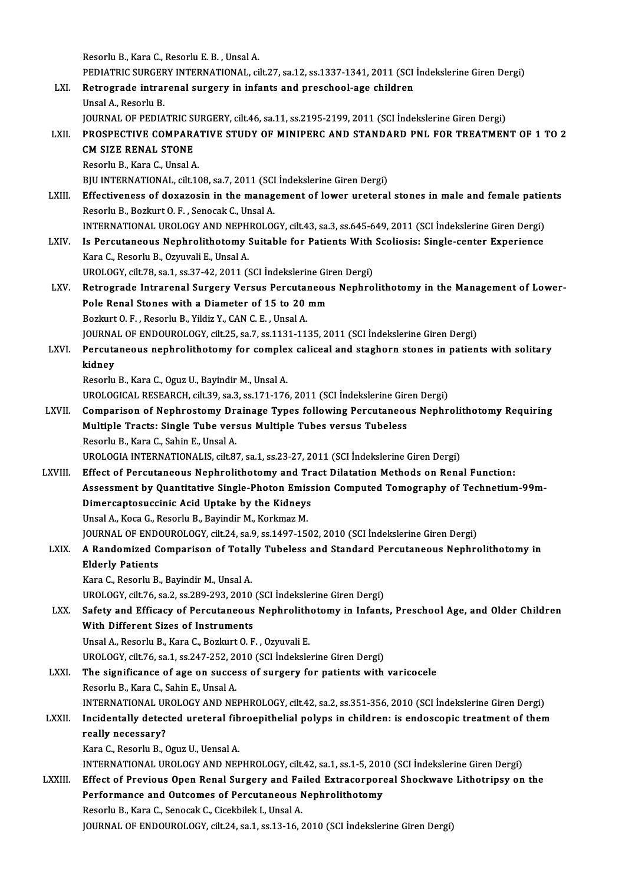ResorluB.,KaraC.,ResorluE.B. ,UnsalA. Resorlu B., Kara C., Resorlu E. B. , Unsal A.<br>PEDIATRIC SURGERY INTERNATIONAL, cilt.27, sa.12, ss.1337-1341, 2011 (SCI İndekslerine Giren Dergi)<br>Retnasında intraranal sursanı: in infants and pressheel ase shildran Resorlu B., Kara C., Resorlu E. B. , Unsal A.<br>PEDIATRIC SURGERY INTERNATIONAL, cilt.27, sa.12, ss.1337-1341, 2011 (SCI<br>LXI. Retrograde intrarenal surgery in infants and preschool-age children<br>Ungal A. Besorly B. PEDIATRIC SURGER<br><mark>Retrograde intrai</mark><br>Unsal A., Resorlu B.<br>JOUPNAL OF PEDIA Retrograde intrarenal surgery in infants and preschool-age children<br>Unsal A., Resorlu B.<br>JOURNAL OF PEDIATRIC SURGERY, cilt.46, sa.11, ss.2195-2199, 2011 (SCI İndekslerine Giren Dergi)<br>PROSPECTIVE COMRARATIVE STIIDY OF MIN Unsal A., Resorlu B.<br>JOURNAL OF PEDIATRIC SURGERY, cilt.46, sa.11, ss.2195-2199, 2011 (SCI İndekslerine Giren Dergi)<br>LXII. PROSPECTIVE COMPARATIVE STUDY OF MINIPERC AND STANDARD PNL FOR TREATMENT OF 1 TO 2<br>CM SIZE PENA **JOURNAL OF PEDIATRIC ST<br>PROSPECTIVE COMPARA<br>CM SIZE RENAL STONE PROSPECTIVE COMPARA<br>CM SIZE RENAL STONE<br>Resorlu B., Kara C., Unsal A.<br>PIU INTERNATIONAL cilt 10** CM SIZE RENAL STONE<br>Resorlu B., Kara C., Unsal A.<br>BJU INTERNATIONAL, cilt.108, sa.7, 2011 (SCI İndekslerine Giren Dergi) Resorlu B., Kara C., Unsal A.<br>BJU INTERNATIONAL, cilt.108, sa.7, 2011 (SCI İndekslerine Giren Dergi)<br>LXIII. Effectiveness of doxazosin in the management of lower ureteral stones in male and female patients BJU INTERNATIONAL, cilt.108, sa.7, 2011 (SCI<br>Effectiveness of doxazosin in the manag<br>Resorlu B., Bozkurt O. F. , Senocak C., Unsal A.<br>INTERNATIONAL UROLOCY AND NEBUROLOG Effectiveness of doxazosin in the management of lower ureteral stones in male and female patie<br>Resorlu B., Bozkurt O. F. , Senocak C., Unsal A.<br>INTERNATIONAL UROLOGY AND NEPHROLOGY, cilt.43, sa.3, ss.645-649, 2011 (SCI İnd Resorlu B., Bozkurt O. F. , Senocak C., Unsal A.<br>INTERNATIONAL UROLOGY AND NEPHROLOGY, cilt.43, sa.3, ss.645-649, 2011 (SCI indekslerine Giren Dergi)<br>LXIV. Is Percutaneous Nephrolithotomy Suitable for Patients With Scolios INTERNATIONAL UROLOGY AND NEPH<br>Is Percutaneous Nephrolithotomy :<br>Kara C., Resorlu B., Ozyuvali E., Unsal A.<br>UPOLOCY silt 79 so 1 se 27 42 2011 (1 Is Percutaneous Nephrolithotomy Suitable for Patients With<br>Kara C., Resorlu B., Ozyuvali E., Unsal A.<br>UROLOGY, cilt.78, sa.1, ss.37-42, 2011 (SCI İndekslerine Giren Dergi)<br>Petresrede Intrenenal Sursony Vereys Persytaneous Kara C., Resorlu B., Ozyuvali E., Unsal A.<br>UROLOGY, cilt.78, sa.1, ss.37-42, 2011 (SCI İndekslerine Giren Dergi)<br>LXV. Retrograde Intrarenal Surgery Versus Percutaneous Nephrolithotomy in the Management of Lower-<br>Pels Bonel UROLOGY, cilt.78, sa.1, ss.37-42, 2011 (SCI Indekslerine Giren Dergi)<br>Retrograde Intrarenal Surgery Versus Percutaneous Nephro<br>Pole Renal Stones with a Diameter of 15 to 20 mm<br>Bozkurt O. F. . Resorlu B.. Yildiz Y.. CAN C. Retrograde Intrarenal Surgery Versus Percutal<br>Pole Renal Stones with a Diameter of 15 to 20<br>Bozkurt O.F., Resorlu B., Yildiz Y., CAN C.E., Unsal A.<br>JOUPMAL OF ENDOUPOLOCY, sitt 25, 22, 22, 1121, 11. Pole Renal Stones with a Diameter of 15 to 20 mm<br>Bozkurt O. F. , Resorlu B., Yildiz Y., CAN C. E. , Unsal A.<br>JOURNAL OF ENDOUROLOGY, cilt.25, sa.7, ss.1131-1135, 2011 (SCI İndekslerine Giren Dergi)<br>Persutanasıya paphralith Bozkurt O. F. , Resorlu B., Yildiz Y., CAN C. E. , Unsal A.<br>JOURNAL OF ENDOUROLOGY, cilt.25, sa.7, ss.1131-1135, 2011 (SCI İndekslerine Giren Dergi)<br>LXVI. Percutaneous nephrolithotomy for complex caliceal and staghorn ston JOURNA<br>Percuta<br>kidney Percutaneous nephrolithotomy for comple:<br>kidney<br>Resorlu B., Kara C., Oguz U., Bayindir M., Unsal A.<br>UPOLOCICAL PESEARCH silt 29, sa 3, sa 171, 176 kidney<br>Resorlu B., Kara C., Oguz U., Bayindir M., Unsal A.<br>UROLOGICAL RESEARCH, cilt.39, sa.3, ss.171-176, 2011 (SCI İndekslerine Giren Dergi)<br>Comparison of Nophrostomy Drainage Types following Persytaneous Nophr Resorlu B., Kara C., Oguz U., Bayindir M., Unsal A.<br>UROLOGICAL RESEARCH, cilt.39, sa.3, ss.171-176, 2011 (SCI İndekslerine Giren Dergi)<br>LXVII. Comparison of Nephrostomy Drainage Types following Percutaneous Nephrolitho UROLOGICAL RESEARCH, cilt.39, sa.3, ss.171-176, 2011 (SCI İndekslerine Giro<br>Comparison of Nephrostomy Drainage Types following Percutaneou<br>Multiple Tracts: Single Tube versus Multiple Tubes versus Tubeless<br>Peserly B. Kara Comparison of Nephrostomy Dr.<br>Multiple Tracts: Single Tube ver:<br>Resorlu B., Kara C., Sahin E., Unsal A.<br>UPOLOCIA INTERNATIONALIS cilt 2. Multiple Tracts: Single Tube versus Multiple Tubes versus Tubeless<br>Resorlu B., Kara C., Sahin E., Unsal A.<br>UROLOGIA INTERNATIONALIS, cilt.87, sa.1, ss.23-27, 2011 (SCI İndekslerine Giren Dergi) LXVIII. Effect of Percutaneous Nephrolithotomy and Tract Dilatation Methods on Renal Function: UROLOGIA INTERNATIONALIS, cilt.87, sa.1, ss.23-27, 2011 (SCI İndekslerine Giren Dergi)<br>Effect of Percutaneous Nephrolithotomy and Tract Dilatation Methods on Renal Function:<br>Assessment by Quantitative Single-Photon Emissio Effect of Percutaneous Nephrolithotomy and Tr<br>Assessment by Quantitative Single-Photon Emiss<br>Dimercaptosuccinic Acid Uptake by the Kidneys<br>Upsal A. Kesa G. Beserly B. Bayindir M. Korlimaz M. Assessment by Quantitative Single-Photon Emis<br>Dimercaptosuccinic Acid Uptake by the Kidneys<br>Unsal A., Koca G., Resorlu B., Bayindir M., Korkmaz M.<br>JOUPMAL OF ENDOUPOLOCY si<sup>11-24</sup> 82.0 88.1497.15: Dimercaptosuccinic Acid Uptake by the Kidneys<br>Unsal A., Koca G., Resorlu B., Bayindir M., Korkmaz M.<br>JOURNAL OF ENDOUROLOGY, cilt.24, sa.9, ss.1497-1502, 2010 (SCI İndekslerine Giren Dergi)<br>A Bandomired Comporison of Total Unsal A., Koca G., Resorlu B., Bayindir M., Korkmaz M.<br>JOURNAL OF ENDOUROLOGY, cilt.24, sa.9, ss.1497-1502, 2010 (SCI İndekslerine Giren Dergi)<br>LXIX. A Randomized Comparison of Totally Tubeless and Standard Percutaneou **JOURNAL OF ENDON**<br>**A Randomized C<br>Elderly Patients** A Randomized Comparison of Total<br>Elderly Patients<br>Kara C., Resorlu B., Bayindir M., Unsal A.<br>UPOLOCY silt 76, 82,2, 82,280,202, 2010 Elderly Patients<br>Kara C., Resorlu B., Bayindir M., Unsal A.<br>UROLOGY, cilt.76, sa.2, ss.289-293, 2010 (SCI İndekslerine Giren Dergi) Kara C., Resorlu B., Bayindir M., Unsal A.<br>UROLOGY, cilt.76, sa.2, ss.289-293, 2010 (SCI İndekslerine Giren Dergi)<br>LXX. Safety and Efficacy of Percutaneous Nephrolithotomy in Infants, Preschool Age, and Older Children<br> With Different Sizes of Instruments<br>Unsal A., Resorlu B., Kara C., Bozkurt O. F., Ozyuvali E. Safety and Efficacy of Percutaneous Nephrolith<br>With Different Sizes of Instruments<br>Unsal A., Resorlu B., Kara C., Bozkurt O. F. , Ozyuvali E.<br>UPOLOCY silt 76, sa 1, ss 247, 252, 2010 (SCL indeksle UROLOGY, cilt.76, sa.1, ss.247-252, 2010 (SCI İndekslerine Giren Dergi) Unsal A., Resorlu B., Kara C., Bozkurt O. F., Ozyuvali E.<br>UROLOGY, cilt.76, sa.1, ss.247-252, 2010 (SCI Indekslerine Giren Dergi)<br>LXXI. The significance of age on success of surgery for patients with varicocele<br>Bosorlu B. UROLOGY, cilt.76, sa.1, ss.247-252, 20<br>The significance of age on succe<br>Resorlu B., Kara C., Sahin E., Unsal A.<br>INTERNATIONAL UROLOCY AND NE The significance of age on success of surgery for patients with varicocele<br>Resorlu B., Kara C., Sahin E., Unsal A.<br>INTERNATIONAL UROLOGY AND NEPHROLOGY, cilt.42, sa.2, ss.351-356, 2010 (SCI İndekslerine Giren Dergi)<br>Inside Resorlu B., Kara C., Sahin E., Unsal A.<br>INTERNATIONAL UROLOGY AND NEPHROLOGY, cilt.42, sa.2, ss.351-356, 2010 (SCI İndekslerine Giren Dergi)<br>LXXII. Incidentally detected ureteral fibroepithelial polyps in children: is INTERNATIONAL UF<br>Incidentally detec<br>really necessary?<br>*Vara C. Bassa*lu B. ( Incidentally detected ureteral fib<br>really necessary?<br>Kara C., Resorlu B., Oguz U., Uensal A.<br>INTERNATIONAL UROLOCY AND NEE really necessary?<br>Kara C., Resorlu B., Oguz U., Uensal A.<br>INTERNATIONAL UROLOGY AND NEPHROLOGY, cilt.42, sa.1, ss.1-5, 2010 (SCI İndekslerine Giren Dergi)<br>Effect of Previeus Open Benel Surgery and Feiled Extresserpereal Sh Kara C., Resorlu B., Oguz U., Uensal A.<br>INTERNATIONAL UROLOGY AND NEPHROLOGY, cilt.42, sa.1, ss.1-5, 2010 (SCI İndekslerine Giren Dergi)<br>LXXIII. Effect of Previous Open Renal Surgery and Failed Extracorporeal Shockwave Lit INTERNATIONAL UROLOGY AND NEPHROLOGY, cilt.42, sa.1, ss.1-5, 201<br>Effect of Previous Open Renal Surgery and Failed Extracorpore<br>Performance and Outcomes of Percutaneous Nephrolithotomy<br>Reserve B. Kara C. Senesak C. Gischbil LXXIII. Effect of Previous Open Renal Surgery and Failed Extracorporeal Shockwave Lithotripsy on the<br>Performance and Outcomes of Percutaneous Nephrolithotomy<br>Resorlu B., Kara C., Senocak C., Cicekbilek I., Unsal A. JOURNAL OF ENDOUROLOGY, cilt.24, sa.1, ss.13-16, 2010 (SCI İndekslerine Giren Dergi)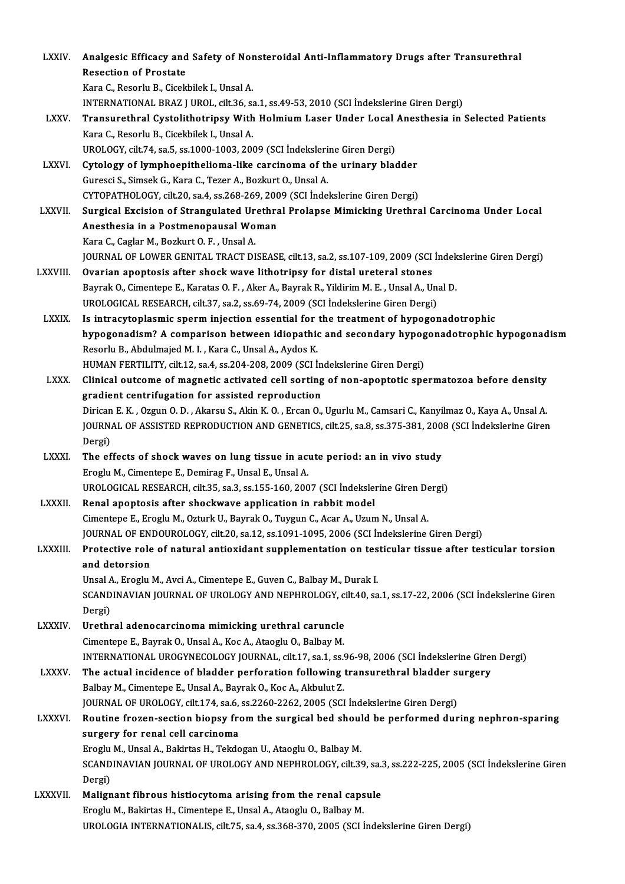| <b>LXXIV</b>    | Analgesic Efficacy and Safety of Nonsteroidal Anti-Inflammatory Drugs after Transurethral                        |
|-----------------|------------------------------------------------------------------------------------------------------------------|
|                 | <b>Resection of Prostate</b>                                                                                     |
|                 | Kara C., Resorlu B., Cicekbilek I., Unsal A.                                                                     |
|                 | INTERNATIONAL BRAZ J UROL, cilt.36, sa.1, ss.49-53, 2010 (SCI Indekslerine Giren Dergi)                          |
| <b>LXXV</b>     | Transurethral Cystolithotripsy With Holmium Laser Under Local Anesthesia in Selected Patients                    |
|                 | Kara C., Resorlu B., Cicekbilek I., Unsal A.                                                                     |
|                 | UROLOGY, cilt.74, sa.5, ss.1000-1003, 2009 (SCI İndekslerine Giren Dergi)                                        |
| <b>LXXVI</b>    | Cytology of lymphoepithelioma-like carcinoma of the urinary bladder                                              |
|                 | Guresci S., Simsek G., Kara C., Tezer A., Bozkurt O., Unsal A.                                                   |
|                 | CYTOPATHOLOGY, cilt.20, sa.4, ss.268-269, 2009 (SCI Indekslerine Giren Dergi)                                    |
| <b>LXXVII</b>   | Surgical Excision of Strangulated Urethral Prolapse Mimicking Urethral Carcinoma Under Local                     |
|                 | Anesthesia in a Postmenopausal Woman                                                                             |
|                 | Kara C., Caglar M., Bozkurt O. F., Unsal A.                                                                      |
|                 | JOURNAL OF LOWER GENITAL TRACT DISEASE, cilt.13, sa.2, ss.107-109, 2009 (SCI İndekslerine Giren Dergi)           |
| LXXVIII.        | Ovarian apoptosis after shock wave lithotripsy for distal ureteral stones                                        |
|                 | Bayrak O., Cimentepe E., Karatas O. F., Aker A., Bayrak R., Yildirim M. E., Unsal A., Unal D.                    |
|                 | UROLOGICAL RESEARCH, cilt.37, sa.2, ss.69-74, 2009 (SCI Indekslerine Giren Dergi)                                |
| <b>LXXIX</b>    | Is intracytoplasmic sperm injection essential for the treatment of hypogonadotrophic                             |
|                 | hypogonadism? A comparison between idiopathic and secondary hypogonadotrophic hypogonadism                       |
|                 | Resorlu B., Abdulmajed M. I., Kara C., Unsal A., Aydos K.                                                        |
|                 | HUMAN FERTILITY, cilt.12, sa.4, ss.204-208, 2009 (SCI Indekslerine Giren Dergi)                                  |
| <b>LXXX</b>     | Clinical outcome of magnetic activated cell sorting of non-apoptotic spermatozoa before density                  |
|                 | gradient centrifugation for assisted reproduction                                                                |
|                 | Dirican E.K., Ozgun O.D., Akarsu S., Akin K.O., Ercan O., Ugurlu M., Camsari C., Kanyilmaz O., Kaya A., Unsal A. |
|                 | JOURNAL OF ASSISTED REPRODUCTION AND GENETICS, cilt.25, sa.8, ss.375-381, 2008 (SCI Indekslerine Giren           |
|                 | Dergi)                                                                                                           |
| <b>LXXXI</b>    | The effects of shock waves on lung tissue in acute period: an in vivo study                                      |
|                 | Eroglu M., Cimentepe E., Demirag F., Unsal E., Unsal A.                                                          |
|                 | UROLOGICAL RESEARCH, cilt.35, sa.3, ss.155-160, 2007 (SCI Indekslerine Giren Dergi)                              |
| LXXXII.         | Renal apoptosis after shockwave application in rabbit model                                                      |
|                 | Cimentepe E., Eroglu M., Ozturk U., Bayrak O., Tuygun C., Acar A., Uzum N., Unsal A.                             |
|                 | JOURNAL OF ENDOUROLOGY, cilt.20, sa.12, ss.1091-1095, 2006 (SCI Indekslerine Giren Dergi)                        |
| <b>LXXXIII.</b> | Protective role of natural antioxidant supplementation on testicular tissue after testicular torsion             |
|                 | and detorsion                                                                                                    |
|                 | Unsal A., Eroglu M., Avci A., Cimentepe E., Guven C., Balbay M., Durak I.                                        |
|                 | SCANDINAVIAN JOURNAL OF UROLOGY AND NEPHROLOGY, cilt.40, sa.1, ss.17-22, 2006 (SCI Indekslerine Giren            |
|                 | Dergi)                                                                                                           |
| LXXXIV.         | Urethral adenocarcinoma mimicking urethral caruncle                                                              |
|                 | Cimentepe E., Bayrak O., Unsal A., Koc A., Ataoglu O., Balbay M.                                                 |
|                 | INTERNATIONAL UROGYNECOLOGY JOURNAL, cilt.17, sa.1, ss.96-98, 2006 (SCI İndekslerine Giren Dergi)                |
| <b>LXXXV</b>    | The actual incidence of bladder perforation following transurethral bladder surgery                              |
|                 | Balbay M., Cimentepe E., Unsal A., Bayrak O., Koc A., Akbulut Z.                                                 |
|                 | JOURNAL OF UROLOGY, cilt.174, sa.6, ss.2260-2262, 2005 (SCI Indekslerine Giren Dergi)                            |
| <b>LXXXVI.</b>  | Routine frozen-section biopsy from the surgical bed should be performed during nephron-sparing                   |
|                 | surgery for renal cell carcinoma                                                                                 |
|                 | Eroglu M., Unsal A., Bakirtas H., Tekdogan U., Ataoglu O., Balbay M.                                             |
|                 | SCANDINAVIAN JOURNAL OF UROLOGY AND NEPHROLOGY, cilt.39, sa.3, ss.222-225, 2005 (SCI Indekslerine Giren          |
| <b>LXXXVII.</b> | Dergi)<br>Malignant fibrous histiocytoma arising from the renal capsule                                          |
|                 | Eroglu M., Bakirtas H., Cimentepe E., Unsal A., Ataoglu O., Balbay M.                                            |
|                 | UROLOGIA INTERNATIONALIS, cilt.75, sa.4, ss.368-370, 2005 (SCI İndekslerine Giren Dergi)                         |
|                 |                                                                                                                  |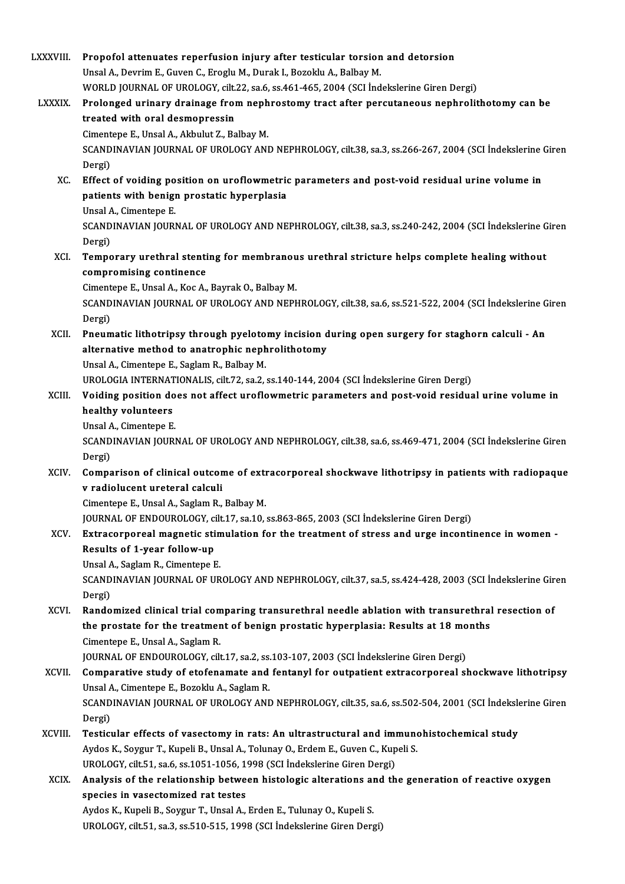| LXXXVIII.      | Propofol attenuates reperfusion injury after testicular torsion and detorsion                           |
|----------------|---------------------------------------------------------------------------------------------------------|
|                | Unsal A., Devrim E., Guven C., Eroglu M., Durak I., Bozoklu A., Balbay M.                               |
|                | WORLD JOURNAL OF UROLOGY, cilt.22, sa.6, ss.461-465, 2004 (SCI Indekslerine Giren Dergi)                |
| <b>LXXXIX.</b> | Prolonged urinary drainage from nephrostomy tract after percutaneous nephrolithotomy can be             |
|                | treated with oral desmopressin                                                                          |
|                | Cimentepe E., Unsal A., Akbulut Z., Balbay M.                                                           |
|                | SCANDINAVIAN JOURNAL OF UROLOGY AND NEPHROLOGY, cilt.38, sa.3, ss.266-267, 2004 (SCI İndekslerine Giren |
|                | Dergi)                                                                                                  |
| XC.            | Effect of voiding position on uroflowmetric parameters and post-void residual urine volume in           |
|                | patients with benign prostatic hyperplasia                                                              |
|                | Unsal A., Cimentepe E.                                                                                  |
|                | SCANDINAVIAN JOURNAL OF UROLOGY AND NEPHROLOGY, cilt.38, sa.3, ss.240-242, 2004 (SCI Indekslerine Giren |
|                | Dergi)                                                                                                  |
| XCI.           | Temporary urethral stenting for membranous urethral stricture helps complete healing without            |
|                | compromising continence                                                                                 |
|                | Cimentepe E., Unsal A., Koc A., Bayrak O., Balbay M.                                                    |
|                | SCANDINAVIAN JOURNAL OF UROLOGY AND NEPHROLOGY, cilt.38, sa.6, ss.521-522, 2004 (SCI Indekslerine Giren |
|                | Dergi)                                                                                                  |
| XCII.          | Pneumatic lithotripsy through pyelotomy incision during open surgery for staghorn calculi - An          |
|                | alternative method to anatrophic nephrolithotomy                                                        |
|                | Unsal A., Cimentepe E., Saglam R., Balbay M.                                                            |
|                | UROLOGIA INTERNATIONALIS, cilt.72, sa.2, ss.140-144, 2004 (SCI İndekslerine Giren Dergi)                |
| XCIII.         | Voiding position does not affect uroflowmetric parameters and post-void residual urine volume in        |
|                | healthy volunteers                                                                                      |
|                | Unsal A., Cimentepe E.                                                                                  |
|                | SCANDINAVIAN JOURNAL OF UROLOGY AND NEPHROLOGY, cilt.38, sa.6, ss.469-471, 2004 (SCI Indekslerine Giren |
|                | Dergi)                                                                                                  |
| XCIV.          | Comparison of clinical outcome of extracorporeal shockwave lithotripsy in patients with radiopaque      |
|                | v radiolucent ureteral calculi                                                                          |
|                | Cimentepe E., Unsal A., Saglam R., Balbay M.                                                            |
|                | JOURNAL OF ENDOUROLOGY, cilt.17, sa.10, ss.863-865, 2003 (SCI Indekslerine Giren Dergi)                 |
| XCV.           | Extracorporeal magnetic stimulation for the treatment of stress and urge incontinence in women -        |
|                | Results of 1-year follow-up                                                                             |
|                | Unsal A., Saglam R., Cimentepe E.                                                                       |
|                | SCANDINAVIAN JOURNAL OF UROLOGY AND NEPHROLOGY, cilt.37, sa.5, ss.424-428, 2003 (SCI Indekslerine Giren |
|                | Dergi)                                                                                                  |
| XCVI.          | Randomized clinical trial comparing transurethral needle ablation with transurethral resection of       |
|                | the prostate for the treatment of benign prostatic hyperplasia: Results at 18 months                    |
|                | Cimentepe E., Unsal A., Saglam R.                                                                       |
|                | JOURNAL OF ENDOUROLOGY, cilt.17, sa.2, ss.103-107, 2003 (SCI İndekslerine Giren Dergi)                  |
| <b>XCVII</b>   | Comparative study of etofenamate and fentanyl for outpatient extracorporeal shockwave lithotripsy       |
|                | Unsal A., Cimentepe E., Bozoklu A., Saglam R.                                                           |
|                | SCANDINAVIAN JOURNAL OF UROLOGY AND NEPHROLOGY, cilt.35, sa.6, ss.502-504, 2001 (SCI İndekslerine Giren |
|                | Dergi)                                                                                                  |
| XCVIII.        | Testicular effects of vasectomy in rats: An ultrastructural and immunohistochemical study               |
|                | Aydos K., Soygur T., Kupeli B., Unsal A., Tolunay O., Erdem E., Guven C., Kupeli S.                     |
|                | UROLOGY, cilt.51, sa.6, ss.1051-1056, 1998 (SCI Indekslerine Giren Dergi)                               |
| <b>XCIX</b>    | Analysis of the relationship between histologic alterations and the generation of reactive oxygen       |
|                | species in vasectomized rat testes                                                                      |
|                | Aydos K., Kupeli B., Soygur T., Unsal A., Erden E., Tulunay O., Kupeli S.                               |
|                | UROLOGY, cilt.51, sa.3, ss.510-515, 1998 (SCI Indekslerine Giren Dergi)                                 |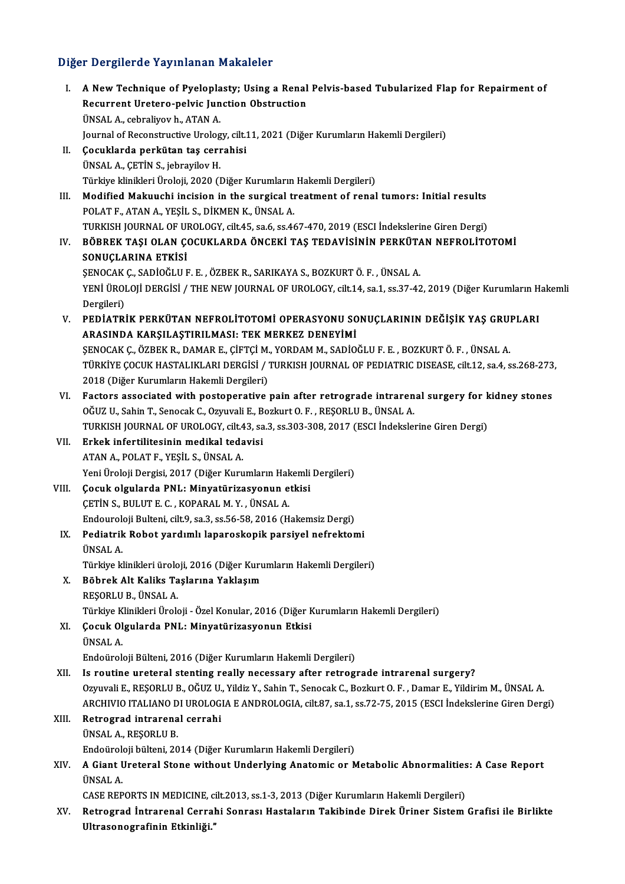#### Diğer Dergilerde Yayınlanan Makaleler

I. A NewTechnique of Pyeloplasty; Using a Renal Pelvis-based Tubularized Flap for Repairment of Recurrent Uretero-pelvic Junction Obstruction<br>Recurrent Uretero-pelvic Junction Obstruction A New Technique of Pyelopla<br>Recurrent Uretero-pelvic Jun<br>ÜNSAL A., cebraliyov h., ATAN A.<br>Journal of Beconstructive Ureles ÜNSAL A., cebraliyov h., ATAN A.<br>Journal of Reconstructive Urology, cilt.11, 2021 (Diğer Kurumların Hakemli Dergileri) II. Çocuklarda perkütan taş cerrahisi ÜNSALA.,ÇETİNS., jebrayilovH. Çocuklarda perkütan taş cerrahisi<br>ÜNSAL A., ÇETİN S., jebrayilov H.<br>Türkiye klinikleri Üroloji, 2020 (Diğer Kurumların Hakemli Dergileri)<br>Modified Makuushi insision in the sursisal trestment of renal III. Modified Makuuchi incision in the surgical treatment of renal tumors: Initial results<br>POLAT F., ATAN A., YEŞİL S., DİKMEN K., ÜNSAL A. Türkiye klinikleri Üroloji, 2020 (Diğer Kurumların<br>Modified Makuuchi incision in the surgical ti<br>POLAT F., ATAN A., YEŞİL S., DİKMEN K., ÜNSAL A.<br>TURKISH JOURNAL OF UROLOCY silt 45,536 6,5346 TURKISHJOURNALOFUROLOGY, cilt.45, sa.6, ss.467-470,2019 (ESCI İndekslerineGirenDergi) POLAT F., ATAN A., YEŞİL S., DİKMEN K., ÜNSAL A.<br>TURKISH JOURNAL OF UROLOGY, cilt.45, sa.6, ss.467-470, 2019 (ESCI İndekslerine Giren Dergi)<br>IV. BÖBREK TAŞI OLAN ÇOCUKLARDA ÖNCEKİ TAŞ TEDAVİSİNİN PERKÜTAN NEFROLİTOTOMİ<br>SON TURKISH JOURNAL OF UI<br>BÖBREK TAŞI OLAN ÇI<br>SONUÇLARINA ETKİSİ<br>SENOCAK C. SADİQĞLU E BÖBREK TAŞI OLAN ÇOCUKLARDA ÖNCEKİ TAŞ TEDAVİSİNİN PERKÜTA<br>SONUÇLARINA ETKİSİ<br>ŞENOCAK Ç., SADİOĞLU F. E. , ÖZBEK R., SARIKAYA S., BOZKURT Ö. F. , ÜNSAL A.<br>YENİ ÜROLOJİ DERÇİSİ (TUE NEW JOURNAL OE UROLOCY silt 14. sə 1. ss SONUÇLARINA ETKİSİ<br>ŞENOCAK Ç., SADİOĞLU F. E. , ÖZBEK R., SARIKAYA S., BOZKURT Ö. F. , ÜNSAL A.<br>YENİ ÜROLOJİ DERGİSİ / THE NEW JOURNAL OF UROLOGY, cilt.14, sa.1, ss.37-42, 2019 (Diğer Kurumların Hakemli<br>Dergileri) SENOCAK C., SADİOĞLU F. E., ÖZBEK R., SARIKAYA S., BOZKURT Ö. F., ÜNSAL A. YENİ ÜROLOJİ DERGİSİ / THE NEW JOURNAL OF UROLOGY, cilt.14, sa.1, ss.37-42, 2019 (Diğer Kurumların H<br>Dergileri)<br>V. PEDİATRİK PERKÜTAN NEFROLİTOTOMİ OPERASYONU SONUÇLARININ DEĞİŞİK YAŞ GRUPLARI<br>ARASINDA KARSILASTIRILMASI, T Dergileri)<br>PEDİATRİK PERKÜTAN NEFROLİTOTOMİ OPERASYONU SO<br>ARASINDA KARŞILAŞTIRILMASI: TEK MERKEZ DENEYİMİ<br>SENOCAK C. ÖZPEKR, DAMAR E. CİETCİ M. YORDAM M. SADİQ PEDİATRİK PERKÜTAN NEFROLİTOTOMİ OPERASYONU SONUÇLARININ DEĞIŞIK YAŞ GRU!<br>ARASINDA KARŞILAŞTIRILMASI: TEK MERKEZ DENEYIMİ<br>ŞENOCAK Ç., ÖZBEK R., DAMAR E., ÇİFTÇİ M., YORDAM M., SADİOĞLU F. E. , BOZKURT Ö. F. , ÜNSAL A.<br>TÜRK ARASINDA KARŞILAŞTIRILMASI: TEK MERKEZ DENEYİMİ<br>ŞENOCAK Ç., ÖZBEK R., DAMAR E., ÇİFTÇİ M., YORDAM M., SADİOĞLU F. E. , BOZKURT Ö. F. , ÜNSAL A.<br>TÜRKİYE ÇOCUK HASTALIKLARI DERGİSİ / TURKISH JOURNAL OF PEDIATRIC DISEASE, cil 5ENOCAK Ç., ÖZBEK R., DAMAR E., ÇİFTÇİ M.<br>TÜRKİYE ÇOCUK HASTALIKLARI DERGİSİ /<br>2018 (Diğer Kurumların Hakemli Dergileri)<br>Festara assasiated with pestapenative TÜRKİYE ÇOCUK HASTALIKLARI DERGİSİ / TURKISH JOURNAL OF PEDIATRIC DISEASE, cilt.12, sa.4, ss.268-273<br>2018 (Diğer Kurumların Hakemli Dergileri)<br>VI. Factors associated with postoperative pain after retrograde intrarenal surg 2018 (Diğer Kurumların Hakemli Dergileri)<br>Factors associated with postoperative pain after retrograde intraren<br>OĞUZ U., Sahin T., Senocak C., Ozyuvali E., Bozkurt O. F. , REŞORLU B., ÜNSAL A.<br>TURKISH JOURNAL OF UROLOCY. si Factors associated with postoperative pain after retrograde intrarenal surgery for k<br>OĞUZ U., Sahin T., Senocak C., Ozyuvali E., Bozkurt O. F. , REŞORLU B., ÜNSAL A.<br>TURKISH JOURNAL OF UROLOGY, cilt.43, sa.3, ss.303-308, 2 OĞUZ U., Sahin T., Senocak C., Ozyuvali E., Bozkurt O. F. , REŞORLU B., ÜNSAL A.<br>TURKISH JOURNAL OF UROLOGY, cilt.43, sa.3, ss.303-308, 2017 (ESCI İndekslerine Giren Dergi)<br>VII. Erkek infertilitesinin medikal tedavisi ATANA.,POLATF.,YEŞİL S.,ÜNSALA. Yeni Üroloji Dergisi, 2017 (Diğer Kurumların Hakemli Dergileri) ATAN A., POLAT F., YEŞİL S., ÜNSAL A.<br>Yeni Üroloji Dergisi, 2017 (Diğer Kurumların Hakemli<br>VIII. Cocuk olgularda PNL: Minyatürizasyonun etkisi Yeni Üroloji Dergisi, 2017 (Diğer Kurumların Hak<br>**Çocuk olgularda PNL: Minyatürizasyonun e**<br>ÇETİN S., BULUT E. C. , KOPARAL M. Y. , ÜNSAL A.<br>Endouraloji Bultani, silt 9, sa. 3, sa.56, 59, 2016 *(*U ÇETİN S., BULUT E. C. , KOPARAL M. Y. , ÜNSAL A.<br>Endouroloji Bulteni, cilt.9, sa.3, ss.56-58, 2016 (Hakemsiz Dergi) CETİN S., BULUT E. C. , KOPARAL M. Y. , ÜNSAL A.<br>Endouroloji Bulteni, cilt.9, sa.3, ss.56-58, 2016 (Hakemsiz Dergi)<br>IX. Pediatrik Robot yardımlı laparoskopik parsiyel nefrektomi<br>İNSAL A Endourole<br>Pediatrik<br>ÜNSAL A.<br>Türkiye kl Pediatrik Robot yardımlı laparoskopik parsiyel nefrektomi<br>ÜNSAL A.<br>Türkiye klinikleri üroloji, 2016 (Diğer Kurumların Hakemli Dergileri)<br>Böhnek Alt Kolike Taslarına Yaklasım ÜNSAL A.<br>Türkiye klinikleri üroloji, 2016 (Diğer Kuru<br>X. Böbrek Alt Kaliks Taşlarına Yaklaşım<br>RESORLU B. ÜNSAL A Türkiye klinikleri ürolo<br>Böbrek Alt Kaliks Ta<br>REŞORLU B., ÜNSAL A.<br>Türkiye Klinikleri Ünsk REŞORLU B., ÜNSAL A.<br>Türkiye Klinikleri Üroloji - Özel Konular, 2016 (Diğer Kurumların Hakemli Dergileri) REŞORLU B., ÜNSAL A.<br>Türkiye Klinikleri Üroloji - Özel Konular, 2016 (Diğer k<br>XI. Çocuk Olgularda PNL: Minyatürizasyonun Etkisi<br>İNSAL A Türkiye K<br>**Çocuk Ol**<br>ÜNSAL A.<br>Endoürek ÜNSAL A.<br>Endoüroloji Bülteni, 2016 (Diğer Kurumların Hakemli Dergileri) XII. Is routine ureteral stenting really necessary after retrograde intrarenal surgery? Endoüroloji Bülteni, 2016 (Diğer Kurumların Hakemli Dergileri)<br>Is r**outine ureteral stenting really necessary after retrograde intrarenal surgery?**<br>Ozyuvali E., REŞORLU B., OĞUZ U., Yildiz Y., Sahin T., Senocak C., Bozkurt Is routine ureteral stenting really necessary after retrograde intrarenal surgery?<br>Ozyuvali E., REŞORLU B., OĞUZ U., Yildiz Y., Sahin T., Senocak C., Bozkurt O. F. , Damar E., Yildirim M., ÜNSAL A.<br>ARCHIVIO ITALIANO DI URO Ozyuvali E., REŞORLU B., OĞUZ U.<br>ARCHIVIO ITALIANO DI UROLOG.<br>XIII. Retrograd intrarenal cerrahi ARCHIVIO ITALIANO DI UROLOGIA E ANDROLOGIA, cilt.87, sa.1, ss.72-75, 2015 (ESCI İndekslerine Giren Dergi)<br>Retrograd intrarenal cerrahi<br>ÜNSAL A., REŞORLU B. Endoüroloji bülteni, 2014 (Diğer Kurumların Hakemli Dergileri) ÜNSAL A., REŞORLU B.<br>Endoüroloji bülteni, 2014 (Diğer Kurumların Hakemli Dergileri)<br>XIV. A Giant Ureteral Stone without Underlying Anatomic or Metabolic Abnormalities: A Case Report<br>IINSAL A Endoürole<br>A Giant U<br>ÜNSAL A.<br>CASE PEP A Giant Ureteral Stone without Underlying Anatomic or Metabolic Abnormalities<br>ÜNSAL A.<br>CASE REPORTS IN MEDICINE, cilt.2013, ss.1-3, 2013 (Diğer Kurumların Hakemli Dergileri)<br>Betresred İntraropal Cerrabi Senrası Hestaların ÜNSAL A.<br>CASE REPORTS IN MEDICINE, cilt.2013, ss.1-3, 2013 (Diğer Kurumların Hakemli Dergileri)<br>XV. Retrograd İntrarenal Cerrahi Sonrası Hastaların Takibinde Direk Üriner Sistem Grafisi ile Birlikte<br>Ultrasonografinin E CASE REPORTS IN MEDICINE, cilt.2013, ss.1-3, 2013 (Diğer Kurumların Hakemli Dergileri)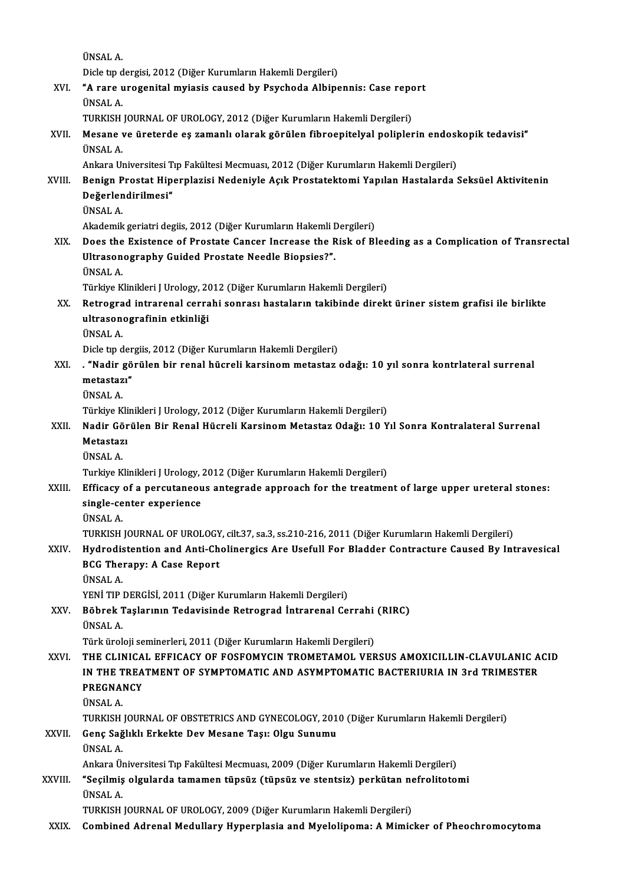ÜNSALA.

Dicle tıp dergisi, 2012 (Diğer Kurumların Hakemli Dergileri)

ÜNSAL A.<br>Dicle tıp dergisi, 2012 (Diğer Kurumların Hakemli Dergileri)<br>XVI. "A rare urogenital myiasis caused by Psychoda Albipennis: Case report<br><sup>TINGAL A</sup> Dicle tip d<br>**"A rare u<br>ÜNSAL A.**<br>TUPKISH **"A rare urogenital myiasis caused by Psychoda Albipennis: Case repo<br>ÜNSAL A.<br>TURKISH JOURNAL OF UROLOGY, 2012 (Diğer Kurumların Hakemli Dergileri)<br>Mesane ve üneterde es zamanlı olarak görülen fibreenitelyel polinler** 

# ÜNSAL A.<br>TURKISH JOURNAL OF UROLOGY, 2012 (Diğer Kurumların Hakemli Dergileri)<br>XVII. Mesane ve üreterde eş zamanlı olarak görülen fibroepitelyal poliplerin endoskopik tedavisi"<br>ÜNSAL A TURKISH JOURNAL OF UROLOGY, 2012 (Diğer Kurumların Hakemli Dergileri)<br>Mesane ve üreterde eş zamanlı olarak görülen fibroepitelyal poliplerin endos<br>ÜNSAL A.<br>Ankara Universitesi Tıp Fakültesi Mecmuası, 2012 (Diğer Kurumların Mesane ve üreterde eş zamanlı olarak görülen fibroepitelyal poliplerin endosl<br>ÜNSAL A.<br>Ankara Universitesi Tıp Fakültesi Mecmuası, 2012 (Diğer Kurumların Hakemli Dergileri)<br>Penian Prestat Hinernlarisi Nedeniyle Asık Presta

### ÜNSAL A.<br>Ankara Universitesi Tıp Fakültesi Mecmuası, 2012 (Diğer Kurumların Hakemli Dergileri)<br>XVIII. Benign Prostat Hiperplazisi Nedeniyle Açık Prostatektomi Yapılan Hastalarda Seksüel Aktivitenin<br>Değerlendirilmesi" Ankara Universitesi T<br>Benign Prostat Hip<br>Değerlendirilmesi"<br><sup>ÜNSAL A</sup> Benign P<br>Değerlen<br>ÜNSAL A. De<mark>ğerlendirilmesi"</mark><br>ÜNSAL A.<br>Akademik geriatri degiis, 2012 (Diğer Kurumların Hakemli Dergileri)

- XIX. Does the Existence of Prostate Cancer Increase the Risk of Bleeding as a Complication of Transrectal Akademik geriatri degiis, 2012 (Diğer Kurumların Hakemli I<br>Does the Existence of Prostate Cancer Increase the R<br>Ultrasonography Guided Prostate Needle Biopsies?".<br><sup>ÜNSAL A</sup> Does the<br>Ultrason<br>ÜNSAL A.<br>Türkiye K <mark>Ultrasonography Guided Prostate Needle Biopsies?".</mark><br>ÜNSAL A.<br>Türkiye Klinikleri J Urology, 2012 (Diğer Kurumların Hakemli Dergileri)<br>Betresred intrarenal serrebi senresı bestelerun tekibinde direki
	-

# ÜNSAL A.<br>Türkiye Klinikleri J Urology, 2012 (Diğer Kurumların Hakemli Dergileri)<br>XX. Retrograd intrarenal cerrahi sonrası hastaların takibinde direkt üriner sistem grafisi ile birlikte<br>ultrasanasınafinin atkinliği Türkiye Klinikleri J Urology, 20<br>Retrograd intrarenal cerra<br>ultrasonografinin etkinliği<br><sup>ÜNGAL A</sup> Retrogra<br>ultrason<br>ÜNSAL A.<br>Dislatn d ultrasonografinin etkinliği<br>ÜNSAL A.<br>Dicle tıp dergiis, 2012 (Diğer Kurumların Hakemli Dergileri)<br>"Nadin gönülen bin nanal büsanli kansınam matastar.

# ÜNSAL A.<br>Dicle tıp dergiis, 2012 (Diğer Kurumların Hakemli Dergileri)<br>XXI. . "Nadir görülen bir renal hücreli karsinom metastaz odağı: 10 yıl sonra kontrlateral surrenal<br>metastazı" Dicle tip der<br>**"Nadir gö<br>metastazı"**<br>ÜNSAL A

ÜNSALA.

Türkiye Klinikleri J Urology, 2012 (Diğer Kurumların Hakemli Dergileri)

### ÜNSAL A.<br>Türkiye Klinikleri J Urology, 2012 (Diğer Kurumların Hakemli Dergileri)<br>XXII. Nadir Görülen Bir Renal Hücreli Karsinom Metastaz Odağı: 10 Yıl Sonra Kontralateral Surrenal<br>Metastarı Türkiye Kli<br><mark>Nadir Gör</mark><br>Metastazı Nadir Gö<br>Metastaz<br>ÜNSAL A.<br>Turkiye K Metastazı<br>ÜNSAL A.<br>Turkiye Klinikleri J Urology, 2012 (Diğer Kurumların Hakemli Dergileri)

# ÜNSAL A.<br>Turkiye Klinikleri J Urology, 2012 (Diğer Kurumların Hakemli Dergileri)<br>XXIII. Efficacy of a percutaneous antegrade approach for the treatment of large upper ureteral stones:<br>cingle center evperience Turkiye Klinikleri J Urology, ;<br>Efficacy of a percutaneou<br>single-center experience<br><sup>fing AL A</sup> Efficacy<br>single-ce<br>ÜNSAL A.<br>TUP*V*ISH single-center experience<br>ÜNSAL A.<br>TURKISH JOURNAL OF UROLOGY, cilt.37, sa.3, ss.210-216, 2011 (Diğer Kurumların Hakemli Dergileri)<br>Hudnodistention and Anti-Cholinensiss Are Usefull For Pladder Contrasture Caused By Int

# ÜNSAL A.<br>TURKISH JOURNAL OF UROLOGY, cilt.37, sa.3, ss.210-216, 2011 (Diğer Kurumların Hakemli Dergileri)<br>XXIV. Hydrodistention and Anti-Cholinergics Are Usefull For Bladder Contracture Caused By Intravesical<br>RCC There TURKISH JOURNAL OF UROLOGY<br>Hydrodistention and Anti-Ch<br>BCG Therapy: A Case Report<br><sup>TINGAL A</sup> Hydrodis<br>BCG The:<br>ÜNSAL A.<br>VENİ TID. BCG Therapy: A Case Report<br>ÜNSAL A.<br>YENİ TIP DERGİSİ, 2011 (Diğer Kurumların Hakemli Dergileri)<br>Böhnek Teslanının Tedevisinde Betresred İntranenel Ce

### ÜNSAL A.<br>YENİ TIP DERGİSİ, 2011 (Diğer Kurumların Hakemli Dergileri)<br>XXV. Böbrek Taşlarının Tedavisinde Retrograd İntrarenal Cerrahi (RIRC)<br>İNSAL A YENİ TIP |<br><mark>Böbrek 1</mark><br>ÜNSAL A.<br>Türk ürel Böbrek Taşlarının Tedavisinde Retrograd İntrarenal Cerrahi<br>ÜNSAL A.<br>Türk üroloji seminerleri, 2011 (Diğer Kurumların Hakemli Dergileri)<br>THE CLINICAL EEEICACY OF FOSEOMYCIN TROMETAMOL VEF ÜNSAL A.<br>Türk üroloji seminerleri, 2011 (Diğer Kurumların Hakemli Dergileri)<br>XXVI. THE CLINICAL EFFICACY OF FOSFOMYCIN TROMETAMOL VERSUS AMOXICILLIN-CLAVULANIC ACID

# Türk üroloji seminerleri, 2011 (Diğer Kurumların Hakemli Dergileri)<br>THE CLINICAL EFFICACY OF FOSFOMYCIN TROMETAMOL VERSUS AMOXICILLIN-CLAVULANIC A<br>IN THE TREATMENT OF SYMPTOMATIC AND ASYMPTOMATIC BACTERIURIA IN 3rd TRIMEST THE CLINICA<br>IN THE TREA<br>PREGNANCY<br><sup>TINSALA</sup> I<mark>N THE T</mark><br>PREGNAL<br>ÜNSAL A.<br>TUPKEH PREGNANCY<br>ÜNSAL A.<br>TURKISH JOURNAL OF OBSTETRICS AND GYNECOLOGY, 2010 (Diğer Kurumların Hakemli Dergileri)<br>Çena Şağlıklı Erkekte Dev Mesane Tası: Olsu Sunumu

# ÜNSAL A.<br>TURKISH JOURNAL OF OBSTETRICS AND GYNECOLOGY, 201<br>XXVII. Genç Sağlıklı Erkekte Dev Mesane Taşı: Olgu Sunumu<br>ÜNSAL A. TURKISH<br>Genç Sağ<br>ÜNSAL A.<br>Ankara Ü Genç Sağlıklı Erkekte Dev Mesane Taşı: Olgu Sunumu<br>ÜNSAL A.<br>Ankara Üniversitesi Tıp Fakültesi Mecmuası, 2009 (Diğer Kurumların Hakemli Dergileri)<br>"Sesilmiş algularda tamaman tüngüz (tüngüz ve stantaiz) porkütan nafralitata

### ÜNSAL A.<br>Ankara Üniversitesi Tıp Fakültesi Mecmuası, 2009 (Diğer Kurumların Hakemli Dergileri)<br>XXVIII. "Seçilmiş olgularda tamamen tüpsüz (tüpsüz ve stentsiz) perkütan nefrolitotomi Ankara Ül<br>**"Seçilmiş**<br>ÜNSAL A.<br>TUPKISH "Seçilmiş olgularda tamamen tüpsüz (tüpsüz ve stentsiz) perkütan nefrolitotomi<br>ÜNSAL A.<br>TURKISH JOURNAL OF UROLOGY, 2009 (Diğer Kurumların Hakemli Dergileri)

XXIX. Combined Adrenal Medullary Hyperplasia and Myelolipoma: A Mimicker of Pheochromocytoma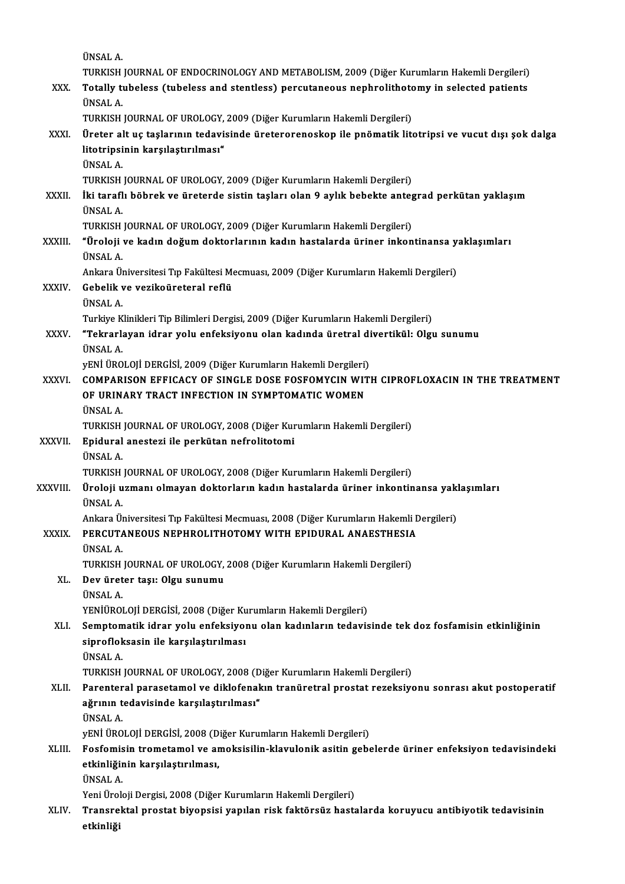|               | ÜNSAL A.                                                                                                                                                                  |
|---------------|---------------------------------------------------------------------------------------------------------------------------------------------------------------------------|
|               | TURKISH JOURNAL OF ENDOCRINOLOGY AND METABOLISM, 2009 (Diğer Kurumların Hakemli Dergileri)                                                                                |
| XXX.          | Totally tubeless (tubeless and stentless) percutaneous nephrolithotomy in selected patients                                                                               |
|               | ÜNSAL A.                                                                                                                                                                  |
|               | TURKISH JOURNAL OF UROLOGY, 2009 (Diğer Kurumların Hakemli Dergileri)                                                                                                     |
| XXXI.         | Üreter alt uç taşlarının tedavisinde üreterorenoskop ile pnömatik litotripsi ve vucut dışı şok dalga                                                                      |
|               | litotripsinin karşılaştırılması"                                                                                                                                          |
|               | ÜNSAL A.                                                                                                                                                                  |
|               | TURKISH JOURNAL OF UROLOGY, 2009 (Diğer Kurumların Hakemli Dergileri)                                                                                                     |
| XXXII.        | İki taraflı böbrek ve üreterde sistin taşları olan 9 aylık bebekte antegrad perkütan yaklaşım                                                                             |
|               | ÜNSAL A<br>TURKISH JOURNAL OF UROLOGY, 2009 (Diğer Kurumların Hakemli Dergileri)                                                                                          |
| <b>XXXIII</b> | "Üroloji ve kadın doğum doktorlarının kadın hastalarda üriner inkontinansa yaklaşımları                                                                                   |
|               | <b>ÜNSAL A</b>                                                                                                                                                            |
|               | Ankara Üniversitesi Tıp Fakültesi Mecmuası, 2009 (Diğer Kurumların Hakemli Dergileri)                                                                                     |
| XXXIV.        | Gebelik ve vezikoüreteral reflü                                                                                                                                           |
|               | ÜNSAL A.                                                                                                                                                                  |
|               | Turkiye Klinikleri Tip Bilimleri Dergisi, 2009 (Diğer Kurumların Hakemli Dergileri)                                                                                       |
| XXXV.         | "Tekrarlayan idrar yolu enfeksiyonu olan kadında üretral divertikül: Olgu sunumu                                                                                          |
|               | ÜNSAL A                                                                                                                                                                   |
| XXXVI.        | yENİ ÜROLOJİ DERGİSİ, 2009 (Diğer Kurumların Hakemli Dergileri)<br>COMPARISON EFFICACY OF SINGLE DOSE FOSFOMYCIN WITH CIPROFLOXACIN IN THE TREATMENT                      |
|               | OF URINARY TRACT INFECTION IN SYMPTOMATIC WOMEN                                                                                                                           |
|               | <b>ÜNSAL A</b>                                                                                                                                                            |
|               | TURKISH JOURNAL OF UROLOGY, 2008 (Diğer Kurumların Hakemli Dergileri)                                                                                                     |
| <b>XXXVII</b> | Epidural anestezi ile perkütan nefrolitotomi                                                                                                                              |
|               | <b>ÜNSAL A</b>                                                                                                                                                            |
|               | TURKISH JOURNAL OF UROLOGY, 2008 (Diğer Kurumların Hakemli Dergileri)                                                                                                     |
| XXXVIII.      | Üroloji uzmanı olmayan doktorların kadın hastalarda üriner inkontinansa yaklaşımları                                                                                      |
|               | UNSAL A                                                                                                                                                                   |
| <b>XXXIX</b>  | Ankara Üniversitesi Tıp Fakültesi Mecmuası, 2008 (Diğer Kurumların Hakemli Dergileri)<br>PERCUTANEOUS NEPHROLITHOTOMY WITH EPIDURAL ANAESTHESIA                           |
|               | ÜNSAL A.                                                                                                                                                                  |
|               | TURKISH JOURNAL OF UROLOGY, 2008 (Diğer Kurumların Hakemli Dergileri)                                                                                                     |
| XL.           | Dev üreter taşı: Olgu sunumu                                                                                                                                              |
|               | ÜNSAL A.                                                                                                                                                                  |
|               | YENİÜROLOJİ DERGİSİ, 2008 (Diğer Kurumların Hakemli Dergileri)                                                                                                            |
| XLI.          | Semptomatik idrar yolu enfeksiyonu olan kadınların tedavisinde tek doz fosfamisin etkinliğinin                                                                            |
|               | siprofloksasin ile karşılaştırılması                                                                                                                                      |
|               | ÜNSAL A.                                                                                                                                                                  |
| XLII.         | TURKISH JOURNAL OF UROLOGY, 2008 (Diğer Kurumların Hakemli Dergileri)<br>Parenteral parasetamol ve diklofenakın tranüretral prostat rezeksiyonu sonrası akut postoperatif |
|               | ağrının tedavisinde karşılaştırılması"                                                                                                                                    |
|               | ÜNSAL A.                                                                                                                                                                  |
|               | yENİ ÜROLOJİ DERGİSİ, 2008 (Diğer Kurumların Hakemli Dergileri)                                                                                                           |
| XLIII.        | Fosfomisin trometamol ve amoksisilin-klavulonik asitin gebelerde üriner enfeksiyon tedavisindeki                                                                          |
|               | etkinliğinin karşılaştırılması,                                                                                                                                           |
|               | ÜNSAL A.                                                                                                                                                                  |
|               | Yeni Üroloji Dergisi, 2008 (Diğer Kurumların Hakemli Dergileri)                                                                                                           |
| XLIV.         | Transrektal prostat biyopsisi yapılan risk faktörsüz hastalarda koruyucu antibiyotik tedavisinin                                                                          |
|               | etkinliği                                                                                                                                                                 |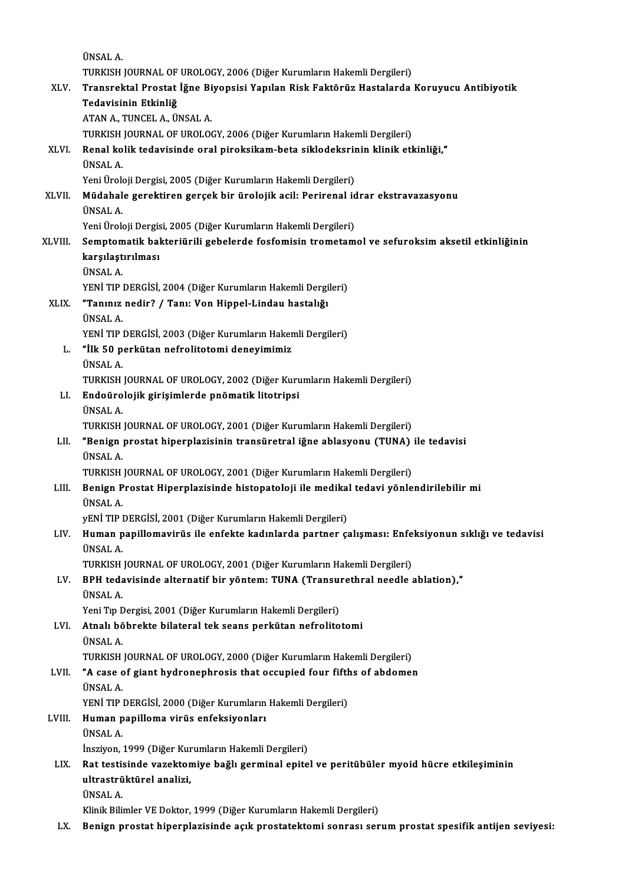|         | ÜNSAL A                                                                                                                   |
|---------|---------------------------------------------------------------------------------------------------------------------------|
|         | TURKISH JOURNAL OF UROLOGY, 2006 (Diğer Kurumların Hakemli Dergileri)                                                     |
| XLV.    | Transrektal Prostat İğne Biyopsisi Yapılan Risk Faktörüz Hastalarda Koruyucu Antibiyotik                                  |
|         | Tedavisinin Etkinliğ                                                                                                      |
|         | ATAN A., TUNCEL A., ÜNSAL A.                                                                                              |
|         | TURKISH JOURNAL OF UROLOGY, 2006 (Diğer Kurumların Hakemli Dergileri)                                                     |
| XLVI.   | Renal kolik tedavisinde oral piroksikam-beta siklodeksrinin klinik etkinliği,"                                            |
|         | <b>ÜNSAL A</b>                                                                                                            |
|         | Yeni Üroloji Dergisi, 2005 (Diğer Kurumların Hakemli Dergileri)                                                           |
| XLVII.  | Müdahale gerektiren gerçek bir ürolojik acil: Perirenal idrar ekstravazasyonu                                             |
|         | ÜNSAL A.                                                                                                                  |
|         | Yeni Üroloji Dergisi, 2005 (Diğer Kurumların Hakemli Dergileri)                                                           |
| XLVIII. | Semptomatik bakteriürili gebelerde fosfomisin trometamol ve sefuroksim aksetil etkinliğinin                               |
|         | karşılaştırılması                                                                                                         |
|         | <b>ÜNSAL A</b>                                                                                                            |
|         | YENİ TIP DERGİSİ, 2004 (Diğer Kurumların Hakemli Dergileri)                                                               |
| XLIX.   | "Tanınız nedir? / Tanı: Von Hippel-Lindau hastalığı<br>ÜNSAL A                                                            |
|         | YENİ TIP DERGİSİ, 2003 (Diğer Kurumların Hakemli Dergileri)                                                               |
| L.      | "İlk 50 perkütan nefrolitotomi deneyimimiz                                                                                |
|         | <b>ÜNSAL A</b>                                                                                                            |
|         | TURKISH JOURNAL OF UROLOGY, 2002 (Diğer Kurumların Hakemli Dergileri)                                                     |
| LI.     | Endoürolojik girişimlerde pnömatik litotripsi                                                                             |
|         | ÜNSAL A.                                                                                                                  |
|         | TURKISH JOURNAL OF UROLOGY, 2001 (Diğer Kurumların Hakemli Dergileri)                                                     |
| LII.    | "Benign prostat hiperplazisinin transüretral iğne ablasyonu (TUNA) ile tedavisi                                           |
|         | ÜNSAL A.                                                                                                                  |
|         | TURKISH JOURNAL OF UROLOGY, 2001 (Diğer Kurumların Hakemli Dergileri)                                                     |
| LIII.   | Benign Prostat Hiperplazisinde histopatoloji ile medikal tedavi yönlendirilebilir mi                                      |
|         | ÜNSAL A                                                                                                                   |
|         | yENİ TIP DERGİSİ, 2001 (Diğer Kurumların Hakemli Dergileri)                                                               |
| LIV.    | Human papillomavirüs ile enfekte kadınlarda partner çalışması: Enfeksiyonun sıklığı ve tedavisi                           |
|         | ÜNSAL A                                                                                                                   |
|         | TURKISH JOURNAL OF UROLOGY, 2001 (Diğer Kurumların Hakemli Dergileri)                                                     |
| LV.     | BPH tedavisinde alternatif bir yöntem: TUNA (Transurethral needle ablation),"                                             |
|         | ÜNSAL A                                                                                                                   |
| LVI.    | Yeni Tıp Dergisi, 2001 (Diğer Kurumların Hakemli Dergileri)<br>Atnalı böbrekte bilateral tek seans perkütan nefrolitotomi |
|         | ÜNSAL A.                                                                                                                  |
|         | TURKISH JOURNAL OF UROLOGY, 2000 (Diğer Kurumların Hakemli Dergileri)                                                     |
| LVII.   | "A case of giant hydronephrosis that occupied four fifths of abdomen                                                      |
|         | ÜNSAL A.                                                                                                                  |
|         | YENİ TIP DERGİSİ, 2000 (Diğer Kurumların Hakemli Dergileri)                                                               |
| LVIII.  | Human papilloma virüs enfeksiyonları                                                                                      |
|         | ÜNSAL A                                                                                                                   |
|         | İnsziyon, 1999 (Diğer Kurumların Hakemli Dergileri)                                                                       |
| LIX.    | Rat testisinde vazektomiye bağlı germinal epitel ve peritübüler myoid hücre etkileşiminin                                 |
|         | ultrastrüktürel analizi,                                                                                                  |
|         | ÜNSAL A.                                                                                                                  |
|         | Klinik Bilimler VE Doktor, 1999 (Diğer Kurumların Hakemli Dergileri)                                                      |
| LX.     | Benign prostat hiperplazisinde açık prostatektomi sonrası serum prostat spesifik antijen seviyesi:                        |
|         |                                                                                                                           |